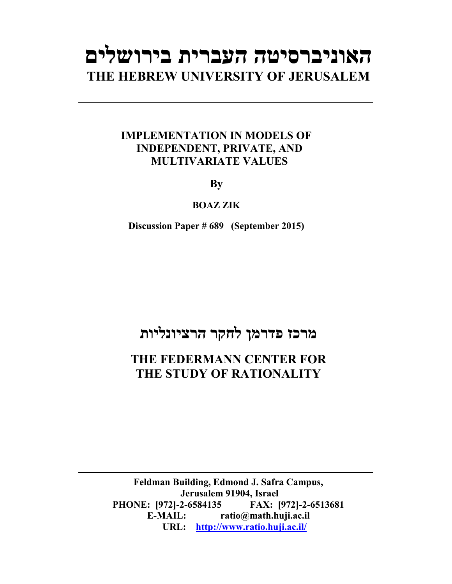# **האוניברסיטה העברית בירושלים THE HEBREW UNIVERSITY OF JERUSALEM**

### **IMPLEMENTATION IN MODELS OF INDEPENDENT, PRIVATE, AND MULTIVARIATE VALUES**

**By** 

### **BOAZ ZIK**

**Discussion Paper # 689 (September 2015)**

# **מרכז פדרמן לחקר הרציונליות**

## **THE FEDERMANN CENTER FOR THE STUDY OF RATIONALITY**

**Feldman Building, Edmond J. Safra Campus, Jerusalem 91904, Israel PHONE: [972]-2-6584135 FAX: [972]-2-6513681 E-MAIL: ratio@math.huji.ac.il URL: http://www.ratio.huji.ac.il/**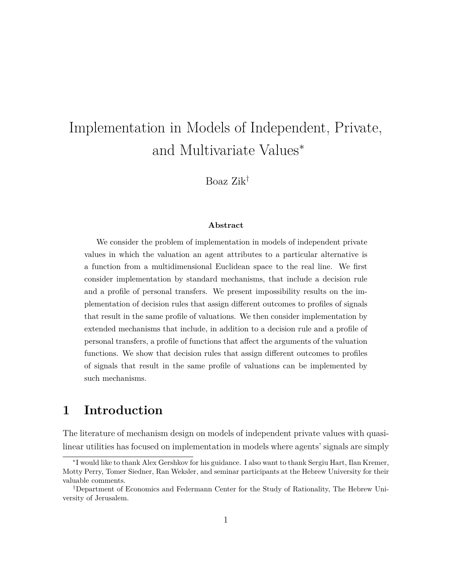# Implementation in Models of Independent, Private, and Multivariate Values<sup>∗</sup>

Boaz Zik†

#### **Abstract**

We consider the problem of implementation in models of independent private values in which the valuation an agent attributes to a particular alternative is a function from a multidimensional Euclidean space to the real line. We first consider implementation by standard mechanisms, that include a decision rule and a profile of personal transfers. We present impossibility results on the implementation of decision rules that assign different outcomes to profiles of signals that result in the same profile of valuations. We then consider implementation by extended mechanisms that include, in addition to a decision rule and a profile of personal transfers, a profile of functions that affect the arguments of the valuation functions. We show that decision rules that assign different outcomes to profiles of signals that result in the same profile of valuations can be implemented by such mechanisms.

### **1 Introduction**

The literature of mechanism design on models of independent private values with quasilinear utilities has focused on implementation in models where agents' signals are simply

<sup>∗</sup> I would like to thank Alex Gershkov for his guidance. I also want to thank Sergiu Hart, Ilan Kremer, Motty Perry, Tomer Siedner, Ran Weksler, and seminar participants at the Hebrew University for their valuable comments.

<sup>†</sup>Department of Economics and Federmann Center for the Study of Rationality, The Hebrew University of Jerusalem.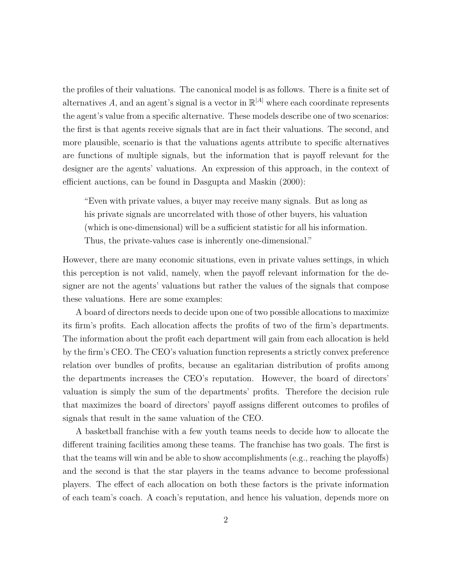the profiles of their valuations. The canonical model is as follows. There is a finite set of alternatives  $A$ , and an agent's signal is a vector in  $\mathbb{R}^{|A|}$  where each coordinate represents the agent's value from a specific alternative. These models describe one of two scenarios: the first is that agents receive signals that are in fact their valuations. The second, and more plausible, scenario is that the valuations agents attribute to specific alternatives are functions of multiple signals, but the information that is payoff relevant for the designer are the agents' valuations. An expression of this approach, in the context of efficient auctions, can be found in Dasgupta and Maskin (2000):

"Even with private values, a buyer may receive many signals. But as long as his private signals are uncorrelated with those of other buyers, his valuation (which is one-dimensional) will be a sufficient statistic for all his information. Thus, the private-values case is inherently one-dimensional."

However, there are many economic situations, even in private values settings, in which this perception is not valid, namely, when the payoff relevant information for the designer are not the agents' valuations but rather the values of the signals that compose these valuations. Here are some examples:

A board of directors needs to decide upon one of two possible allocations to maximize its firm's profits. Each allocation affects the profits of two of the firm's departments. The information about the profit each department will gain from each allocation is held by the firm's CEO. The CEO's valuation function represents a strictly convex preference relation over bundles of profits, because an egalitarian distribution of profits among the departments increases the CEO's reputation. However, the board of directors' valuation is simply the sum of the departments' profits. Therefore the decision rule that maximizes the board of directors' payoff assigns different outcomes to profiles of signals that result in the same valuation of the CEO.

A basketball franchise with a few youth teams needs to decide how to allocate the different training facilities among these teams. The franchise has two goals. The first is that the teams will win and be able to show accomplishments (e.g., reaching the playoffs) and the second is that the star players in the teams advance to become professional players. The effect of each allocation on both these factors is the private information of each team's coach. A coach's reputation, and hence his valuation, depends more on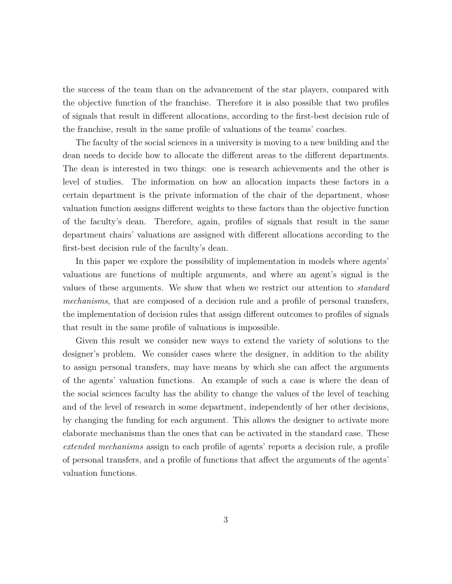the success of the team than on the advancement of the star players, compared with the objective function of the franchise. Therefore it is also possible that two profiles of signals that result in different allocations, according to the first-best decision rule of the franchise, result in the same profile of valuations of the teams' coaches.

The faculty of the social sciences in a university is moving to a new building and the dean needs to decide how to allocate the different areas to the different departments. The dean is interested in two things: one is research achievements and the other is level of studies. The information on how an allocation impacts these factors in a certain department is the private information of the chair of the department, whose valuation function assigns different weights to these factors than the objective function of the faculty's dean. Therefore, again, profiles of signals that result in the same department chairs' valuations are assigned with different allocations according to the first-best decision rule of the faculty's dean.

In this paper we explore the possibility of implementation in models where agents' valuations are functions of multiple arguments, and where an agent's signal is the values of these arguments. We show that when we restrict our attention to *standard mechanisms*, that are composed of a decision rule and a profile of personal transfers, the implementation of decision rules that assign different outcomes to profiles of signals that result in the same profile of valuations is impossible.

Given this result we consider new ways to extend the variety of solutions to the designer's problem. We consider cases where the designer, in addition to the ability to assign personal transfers, may have means by which she can affect the arguments of the agents' valuation functions. An example of such a case is where the dean of the social sciences faculty has the ability to change the values of the level of teaching and of the level of research in some department, independently of her other decisions, by changing the funding for each argument. This allows the designer to activate more elaborate mechanisms than the ones that can be activated in the standard case. These *extended mechanisms* assign to each profile of agents' reports a decision rule, a profile of personal transfers, and a profile of functions that affect the arguments of the agents' valuation functions.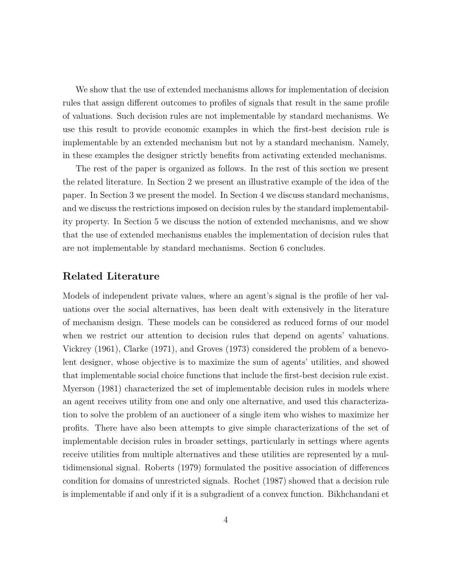We show that the use of extended mechanisms allows for implementation of decision rules that assign different outcomes to profiles of signals that result in the same profile of valuations. Such decision rules are not implementable by standard mechanisms. We use this result to provide economic examples in which the first-best decision rule is implementable by an extended mechanism but not by a standard mechanism. Namely, in these examples the designer strictly benefits from activating extended mechanisms.

The rest of the paper is organized as follows. In the rest of this section we present the related literature. In Section 2 we present an illustrative example of the idea of the paper. In Section 3 we present the model. In Section 4 we discuss standard mechanisms, and we discuss the restrictions imposed on decision rules by the standard implementability property. In Section 5 we discuss the notion of extended mechanisms, and we show that the use of extended mechanisms enables the implementation of decision rules that are not implementable by standard mechanisms. Section 6 concludes.

### **Related Literature**

Models of independent private values, where an agent's signal is the profile of her valuations over the social alternatives, has been dealt with extensively in the literature of mechanism design. These models can be considered as reduced forms of our model when we restrict our attention to decision rules that depend on agents' valuations. Vickrey (1961), Clarke (1971), and Groves (1973) considered the problem of a benevolent designer, whose objective is to maximize the sum of agents' utilities, and showed that implementable social choice functions that include the first-best decision rule exist. Myerson (1981) characterized the set of implementable decision rules in models where an agent receives utility from one and only one alternative, and used this characterization to solve the problem of an auctioneer of a single item who wishes to maximize her profits. There have also been attempts to give simple characterizations of the set of implementable decision rules in broader settings, particularly in settings where agents receive utilities from multiple alternatives and these utilities are represented by a multidimensional signal. Roberts (1979) formulated the positive association of differences condition for domains of unrestricted signals. Rochet (1987) showed that a decision rule is implementable if and only if it is a subgradient of a convex function. Bikhchandani et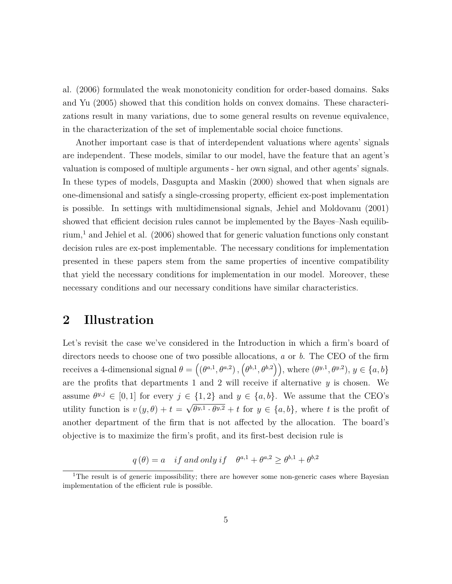al. (2006) formulated the weak monotonicity condition for order-based domains. Saks and Yu (2005) showed that this condition holds on convex domains. These characterizations result in many variations, due to some general results on revenue equivalence, in the characterization of the set of implementable social choice functions.

Another important case is that of interdependent valuations where agents' signals are independent. These models, similar to our model, have the feature that an agent's valuation is composed of multiple arguments - her own signal, and other agents' signals. In these types of models, Dasgupta and Maskin (2000) showed that when signals are one-dimensional and satisfy a single-crossing property, efficient ex-post implementation is possible. In settings with multidimensional signals, Jehiel and Moldovanu (2001) showed that efficient decision rules cannot be implemented by the Bayes–Nash equilibrium,<sup>1</sup> and Jehiel et al.  $(2006)$  showed that for generic valuation functions only constant decision rules are ex-post implementable. The necessary conditions for implementation presented in these papers stem from the same properties of incentive compatibility that yield the necessary conditions for implementation in our model. Moreover, these necessary conditions and our necessary conditions have similar characteristics.

### **2 Illustration**

Let's revisit the case we've considered in the Introduction in which a firm's board of directors needs to choose one of two possible allocations, *a* or *b*. The CEO of the firm receives a 4-dimensional signal  $\theta = ((\theta^{a,1}, \theta^{a,2}), (\theta^{b,1}, \theta^{b,2})),$  where  $(\theta^{y,1}, \theta^{y,2}), y \in \{a, b\}$ are the profits that departments 1 and 2 will receive if alternative *y* is chosen. We assume  $\theta^{y,j} \in [0,1]$  for every  $j \in \{1,2\}$  and  $y \in \{a,b\}$ . We assume that the CEO's utility function is  $v(y, \theta) + t = \sqrt{\theta^{y,1} \cdot \theta^{y,2}} + t$  for  $y \in \{a, b\}$ , where *t* is the profit of another department of the firm that is not affected by the allocation. The board's objective is to maximize the firm's profit, and its first-best decision rule is

 $q(\theta) = a$  *if and only if*  $\theta^{a,1} + \theta^{a,2} \ge \theta^{b,1} + \theta^{b,2}$ 

<sup>&</sup>lt;sup>1</sup>The result is of generic impossibility; there are however some non-generic cases where Bayesian implementation of the efficient rule is possible.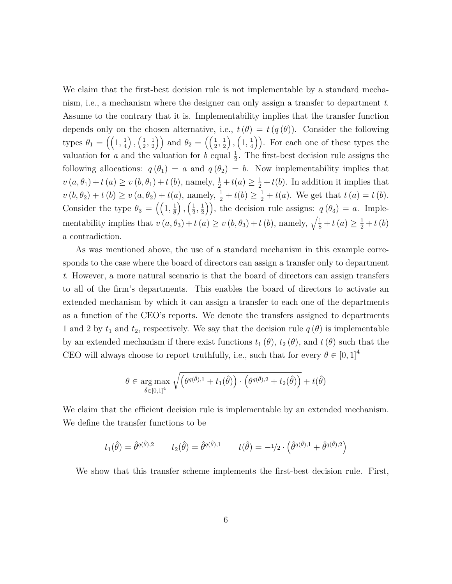We claim that the first-best decision rule is not implementable by a standard mechanism, i.e., a mechanism where the designer can only assign a transfer to department *t*. Assume to the contrary that it is. Implementability implies that the transfer function depends only on the chosen alternative, i.e.,  $t(\theta) = t(q(\theta))$ . Consider the following types  $\theta_1 = \left( \left(1, \frac{1}{4}\right)$ 4  $\left( \frac{1}{2} \right)$  $\frac{1}{2}, \frac{1}{2}$  $\left(\frac{1}{2}\right)$  and  $\theta_2 = \left(\left(\frac{1}{2}\right)$  $\frac{1}{2}, \frac{1}{2}$ 2  $\big)$ ,  $\big(1, \frac{1}{4}\big)$  $(\frac{1}{4})$ ). For each one of these types the valuation for *a* and the valuation for *b* equal  $\frac{1}{2}$ . The first-best decision rule assigns the following allocations:  $q(\theta_1) = a$  and  $q(\theta_2) = b$ . Now implementability implies that  $v(a, \theta_1) + t(a) \ge v(b, \theta_1) + t(b)$ , namely,  $\frac{1}{2} + t(a) \ge \frac{1}{2} + t(b)$ . In addition it implies that  $v(b, \theta_2) + t(b) \ge v(a, \theta_2) + t(a)$ , namely,  $\frac{1}{2} + t(b) \ge \frac{1}{2} + t(a)$ . We get that  $t(a) = t(b)$ . Consider the type  $\theta_3 = \left( \left(1, \frac{1}{8}\right)$ 8  $\left( \frac{1}{2} \right)$  $\frac{1}{2}, \frac{1}{2}$  $\left(\frac{1}{2}\right)$ , the decision rule assigns:  $q(\theta_3) = a$ . Implementability implies that  $v(a, \theta_3) + t(a) \ge v(b, \theta_3) + t(b)$ , namely,  $\sqrt{\frac{1}{8}} + t(a) \ge \frac{1}{2} + t(b)$ a contradiction.

As was mentioned above, the use of a standard mechanism in this example corresponds to the case where the board of directors can assign a transfer only to department *t*. However, a more natural scenario is that the board of directors can assign transfers to all of the firm's departments. This enables the board of directors to activate an extended mechanism by which it can assign a transfer to each one of the departments as a function of the CEO's reports. We denote the transfers assigned to departments 1 and 2 by  $t_1$  and  $t_2$ , respectively. We say that the decision rule  $q(\theta)$  is implementable by an extended mechanism if there exist functions  $t_1(\theta)$ ,  $t_2(\theta)$ , and  $t(\theta)$  such that the CEO will always choose to report truthfully, i.e., such that for every  $\theta \in [0,1]^4$ 

$$
\theta \in \underset{\hat{\theta} \in [0,1]^4}{\arg \max} \sqrt{\left(\theta^{q(\hat{\theta}),1} + t_1(\hat{\theta})\right) \cdot \left(\theta^{q(\hat{\theta}),2} + t_2(\hat{\theta})\right)} + t(\hat{\theta})
$$

We claim that the efficient decision rule is implementable by an extended mechanism. We define the transfer functions to be

$$
t_1(\hat{\theta}) = \hat{\theta}^{q(\hat{\theta}),2} \qquad t_2(\hat{\theta}) = \hat{\theta}^{q(\hat{\theta}),1} \qquad t(\hat{\theta}) = -\frac{1}{2} \cdot \left( \hat{\theta}^{q(\hat{\theta}),1} + \hat{\theta}^{q(\hat{\theta}),2} \right)
$$

We show that this transfer scheme implements the first-best decision rule. First,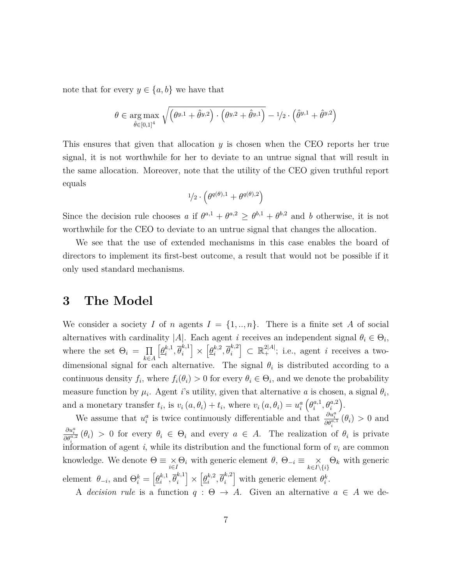note that for every  $y \in \{a, b\}$  we have that

$$
\theta \in \underset{\hat{\theta} \in [0,1]^4}{\arg \max} \sqrt{\left(\theta^{y,1} + \hat{\theta}^{y,2}\right) \cdot \left(\theta^{y,2} + \hat{\theta}^{y,1}\right)} - 1/2 \cdot \left(\hat{\theta}^{y,1} + \hat{\theta}^{y,2}\right)
$$

This ensures that given that allocation *y* is chosen when the CEO reports her true signal, it is not worthwhile for her to deviate to an untrue signal that will result in the same allocation. Moreover, note that the utility of the CEO given truthful report equals

$$
^{1\!}/_{2}\cdot\left( \theta^{q(\theta),1}+\theta^{q(\theta),2}\right)
$$

Since the decision rule chooses *a* if  $\theta^{a,1} + \theta^{a,2} \ge \theta^{b,1} + \theta^{b,2}$  and *b* otherwise, it is not worthwhile for the CEO to deviate to an untrue signal that changes the allocation.

We see that the use of extended mechanisms in this case enables the board of directors to implement its first-best outcome, a result that would not be possible if it only used standard mechanisms.

### **3 The Model**

We consider a society *I* of *n* agents  $I = \{1, ..., n\}$ . There is a finite set *A* of social alternatives with cardinality |*A*|. Each agent *i* receives an independent signal  $\theta_i \in \Theta_i$ , where the set  $\Theta_i = \Pi$ *k*∈*A*  $\left[\underline{\theta}_i^{k,1}\right]$  $\overline{\theta}_i^{k,1}, \overline{\theta}_i^{k,1}$ *i* i ×  $\left[\underline{\theta}_i^{k,2}\right]$  $\overline{\theta}_i^{k,2}, \overline{\theta}_i^{k,2}$ *i*  $\left] \subset \mathbb{R}^{2|A|}_{+}$ ; i.e., agent *i* receives a twodimensional signal for each alternative. The signal  $\theta_i$  is distributed according to a continuous density  $f_i$ , where  $f_i(\theta_i) > 0$  for every  $\theta_i \in \Theta_i$ , and we denote the probability measure function by  $\mu_i$ . Agent *i*'s utility, given that alternative *a* is chosen, a signal  $\theta_i$ , and a monetary transfer  $t_i$ , is  $v_i(a, \theta_i) + t_i$ , where  $v_i(a, \theta_i) = u_i^a$  $\left(\theta_i^{a,1}\right)$  $\theta_i^{a,1}, \theta_i^{a,2}$ .

We assume that  $u_i^a$  is twice continuously differentiable and that  $\frac{\partial u_i^a}{\partial \theta_i^{a,1}}(\theta_i) > 0$  and  $\frac{\partial u_i^a}{\partial \theta_i^{a,2}}(\theta_i) > 0$  for every  $\theta_i \in \Theta_i$  and every  $a \in A$ . The realization of  $\theta_i$  is private information of agent  $i$ , while its distribution and the functional form of  $v_i$  are common knowledge. We denote  $\Theta \equiv \underset{i \in I}{\times} \Theta_i$  with generic element  $\theta$ ,  $\Theta_{-i} \equiv \underset{k \in I \setminus \{i\}}{\times}$ Θ*<sup>k</sup>* with generic element  $\theta_{-i}$ , and  $\Theta_i^k = \left[\underline{\theta}_i^{k,1}\right]$  $\overline{\theta}_i^{k,1}, \overline{\theta}_i^{k,1}$ *i* i ×  $\left[\underline{\theta}_i^{k,2}\right]$  $\overline{\theta}_i^{k,2}, \overline{\theta}_i^{k,2}$ *i* with generic element  $\theta_i^k$ .

A *decision rule* is a function  $q : \Theta \to A$ . Given an alternative  $a \in A$  we de-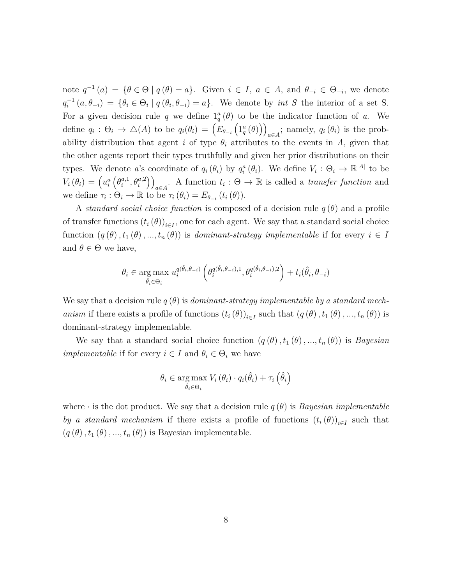note  $q^{-1}(a) = \{\theta \in \Theta \mid q(\theta) = a\}$ . Given  $i \in I$ ,  $a \in A$ , and  $\theta_{-i} \in \Theta_{-i}$ , we denote  $q_i^{-1}(a, \theta_{-i}) = \{\theta_i \in \Theta_i \mid q(\theta_i, \theta_{-i}) = a\}.$  We denote by *int S* the interior of a set S. For a given decision rule q we define  $1_q^a(\theta)$  to be the indicator function of a. We define  $q_i: \Theta_i \to \Delta(A)$  to be  $q_i(\theta_i) = (E_{\theta_{-i}}(1_q^a(\theta)))$  $a \in A$ <sup>;</sup> namely,  $q_i(\theta_i)$  is the probability distribution that agent *i* of type  $\theta_i$  attributes to the events in *A*, given that the other agents report their types truthfully and given her prior distributions on their types. We denote *a*'s coordinate of  $q_i(\theta_i)$  by  $q_i^a(\theta_i)$ . We define  $V_i : \Theta_i \to \mathbb{R}^{|A|}$  to be  $V_i(\theta_i) = \left(u_i^a\right)$  $\left(\theta_i^{a,1}\right)$  $a^{(1)}_i, \theta^{a,2}_i$  $\setminus$  $a \in A$ . A function  $t_i : \Theta \to \mathbb{R}$  is called a *transfer function* and we define  $\tau_i : \Theta_i \to \mathbb{R}$  to be  $\tau_i (\theta_i) = E_{\theta_{-i}} (t_i (\theta)).$ 

A *standard social choice function* is composed of a decision rule *q* (*θ*) and a profile of transfer functions  $(t_i(\theta))_{i \in I}$ , one for each agent. We say that a standard social choice function  $(q(\theta), t_1(\theta), ..., t_n(\theta))$  is *dominant-strategy implementable* if for every  $i \in I$ and  $\theta \in \Theta$  we have,

$$
\theta_i \in \underset{\hat{\theta}_i \in \Theta_i}{\arg \max} \; u_i^{q(\hat{\theta}_i, \theta_{-i})} \left( \theta_i^{q(\hat{\theta}_i, \theta_{-i}), 1}, \theta_i^{q(\hat{\theta}_i, \theta_{-i}), 2} \right) + t_i(\hat{\theta}_i, \theta_{-i})
$$

We say that a decision rule  $q(\theta)$  is *dominant-strategy implementable by a standard mechanism* if there exists a profile of functions  $(t_i(\theta))_{i \in I}$  such that  $(q(\theta), t_1(\theta), ..., t_n(\theta))$  is dominant-strategy implementable.

We say that a standard social choice function  $(q(\theta), t_1(\theta), ..., t_n(\theta))$  is *Bayesian implementable* if for every  $i \in I$  and  $\theta_i \in \Theta_i$  we have

$$
\theta_i \in \underset{\hat{\theta}_i \in \Theta_i}{\arg \max} V_i(\theta_i) \cdot q_i(\hat{\theta}_i) + \tau_i(\hat{\theta}_i)
$$

where  $\cdot$  is the dot product. We say that a decision rule  $q(\theta)$  is *Bayesian implementable by a standard mechanism* if there exists a profile of functions  $(t_i(\theta))_{i \in I}$  such that  $\left(q\left(\theta\right),t_{1}\left(\theta\right),...,t_{n}\left(\theta\right)\right)$  is Bayesian implementable.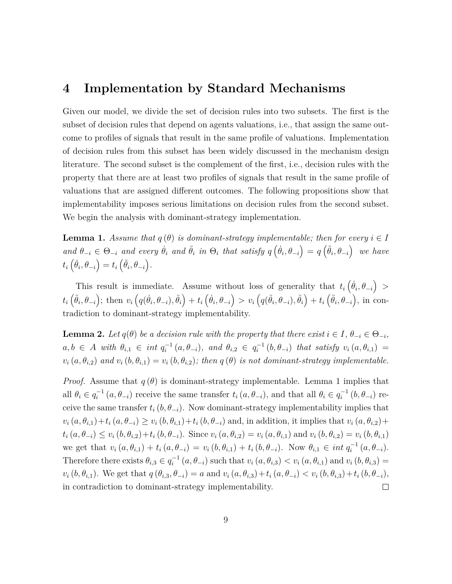### **4 Implementation by Standard Mechanisms**

Given our model, we divide the set of decision rules into two subsets. The first is the subset of decision rules that depend on agents valuations, i.e., that assign the same outcome to profiles of signals that result in the same profile of valuations. Implementation of decision rules from this subset has been widely discussed in the mechanism design literature. The second subset is the complement of the first, i.e., decision rules with the property that there are at least two profiles of signals that result in the same profile of valuations that are assigned different outcomes. The following propositions show that implementability imposes serious limitations on decision rules from the second subset. We begin the analysis with dominant-strategy implementation.

**Lemma 1.** Assume that  $q(\theta)$  is dominant-strategy implementable; then for every  $i \in I$ and  $\theta_{-i} \in \Theta_{-i}$  and every  $\dot{\theta}_i$  and  $\ddot{\theta}_i$  in  $\Theta_i$  that satisfy  $q\left(\dot{\theta}_i, \theta_{-i}\right) = q\left(\ddot{\theta}_i, \theta_{-i}\right)$  we have  $t_i\left(\dot{\theta}_i, \theta_{-i}\right) = t_i\left(\ddot{\theta}_i, \theta_{-i}\right).$ 

This result is immediate. Assume without loss of generality that  $t_i\left(\dot{\theta}_i, \theta_{-i}\right)$  $t_i\left(\ddot{\theta}_i,\theta_{-i}\right);$  then  $v_i\left(q(\dot{\theta}_i,\theta_{-i}),\ddot{\theta}_i\right)+t_i\left(\dot{\theta}_i,\theta_{-i}\right) > v_i\left(q(\ddot{\theta}_i,\theta_{-i}),\ddot{\theta}_i\right)+t_i\left(\ddot{\theta}_i,\theta_{-i}\right),$  in contradiction to dominant-strategy implementability.

**Lemma 2.** *Let*  $q(\theta)$  *be a decision rule with the property that there exist*  $i \in I$ ,  $\theta_{-i} \in \Theta_{-i}$ ,  $a, b \in A$  with  $\theta_{i,1} \in int q_i^{-1}(a, \theta_{-i}),$  and  $\theta_{i,2} \in q_i^{-1}(b, \theta_{-i})$  that satisfy  $v_i(a, \theta_{i,1}) =$  $v_i(a, \theta_{i,2})$  and  $v_i(b, \theta_{i,1}) = v_i(b, \theta_{i,2})$ ; then  $q(\theta)$  is not dominant-strategy implementable.

*Proof.* Assume that  $q(\theta)$  is dominant-strategy implementable. Lemma 1 implies that all  $\theta_i \in q_i^{-1}(a, \theta_{-i})$  receive the same transfer  $t_i(a, \theta_{-i})$ , and that all  $\theta_i \in q_i^{-1}(b, \theta_{-i})$  receive the same transfer  $t_i(b, \theta_{-i})$ . Now dominant-strategy implementability implies that  $v_i(a, \theta_{i,1}) + t_i(a, \theta_{-i}) \ge v_i(b, \theta_{i,1}) + t_i(b, \theta_{-i})$  and, in addition, it implies that  $v_i(a, \theta_{i,2}) +$  $t_i(a, \theta_{-i}) \leq v_i(b, \theta_{i,2}) + t_i(b, \theta_{-i})$ . Since  $v_i(a, \theta_{i,2}) = v_i(a, \theta_{i,1})$  and  $v_i(b, \theta_{i,2}) = v_i(b, \theta_{i,1})$ we get that  $v_i(a, \theta_{i,1}) + t_i(a, \theta_{-i}) = v_i(b, \theta_{i,1}) + t_i(b, \theta_{-i})$ . Now  $\theta_{i,1} \in int q_i^{-1}(a, \theta_{-i})$ . Therefore there exists  $\theta_{i,3} \in q_i^{-1}(a, \theta_{-i})$  such that  $v_i(a, \theta_{i,3}) < v_i(a, \theta_{i,1})$  and  $v_i(b, \theta_{i,3}) =$  $v_i(b, \theta_{i,1})$ . We get that  $q(\theta_{i,3}, \theta_{-i}) = a$  and  $v_i(a, \theta_{i,3}) + t_i(a, \theta_{-i}) < v_i(b, \theta_{i,3}) + t_i(b, \theta_{-i}),$ in contradiction to dominant-strategy implementability. П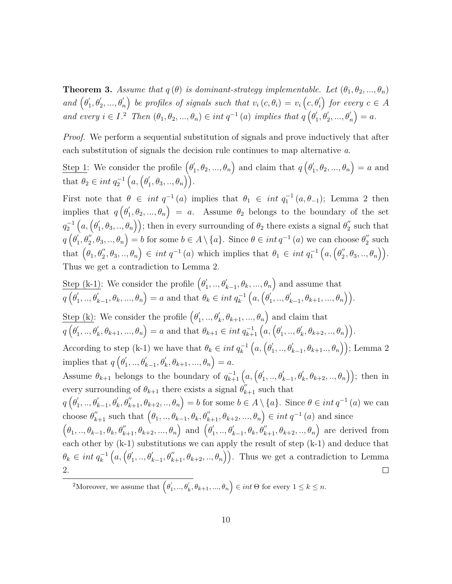**Theorem 3.** *Assume that*  $q(\theta)$  *is dominant-strategy implementable. Let*  $(\theta_1, \theta_2, ..., \theta_n)$  $and$   $(\theta'_1, \theta'_2, ..., \theta'_n)$ *be profiles of signals such that*  $v_i(c, \theta_i) = v_i(c, \theta'_i)$ *for every*  $c \in A$ *and every*  $i \in I$ <sup>2</sup> *Then*  $(\theta_1, \theta_2, ..., \theta_n) \in int \, q^{-1}(a)$  *implies that*  $q(\theta'_1, \theta'_2, ..., \theta'_n)$  $= a.$ 

*Proof.* We perform a sequential substitution of signals and prove inductively that after each substitution of signals the decision rule continues to map alternative *a*.

Step 1: We consider the profile  $(\theta_1', \theta_2, ..., \theta_n)$  and claim that  $q(\theta_1', \theta_2, ..., \theta_n) = a$  and that  $\theta_2 \in int \, q_2^{-1} \left( a, \left( \theta'_1, \theta_3, ..., \theta_n \right) \right)$ .

First note that  $\theta \in int$   $q^{-1}(a)$  implies that  $\theta_1 \in int$   $q_1^{-1}(a, \theta_{-1})$ ; Lemma 2 then implies that  $q(\theta_1', \theta_2, ..., \theta_n) = a$ . Assume  $\theta_2$  belongs to the boundary of the set  $q_2^{-1}\left(a, (\theta_1', \theta_3, ..., \theta_n)\right);$  then in every surrounding of  $\theta_2$  there exists a signal  $\theta_2''$  such that  $q\left(\theta_1, \theta_2, \theta_3, \ldots, \theta_n\right) = b$  for some  $b \in A \setminus \{a\}$ . Since  $\theta \in int q^{-1}(a)$  we can choose  $\theta_2$  such  $\text{that } \left(\theta_1, \theta_2'', \theta_3, \ldots, \theta_n\right) \in \text{int } q^{-1}(a) \text{ which implies that } \theta_1 \in \text{int } q_1^{-1}\left(a, \left(\theta_2'', \theta_3, \ldots, \theta_n\right)\right).$ Thus we get a contradiction to Lemma 2.

Step (k-1): We consider the profile  $(\theta'_1, ..., \theta'_{k-1}, \theta_k, ..., \theta_n)$  and assume that  $q\left(\theta_1^{'}, ..., \theta_{k-1}^{'}, \theta_k, ..., \theta_n\right) = a$  and that  $\theta_k \in int q_k^{-1}$  $(a, \left(\theta_1^{'},..,\theta_{k-1}^{'} ,\theta_{k+1},...,\theta_n\right)).$ Step (k): We consider the profile  $(\theta'_1, ..., \theta'_k, \theta_{k+1}, ..., \theta_n)$  and claim that  $q\left(\theta_{1}^{'} ,...,\theta_{k}^{'} ,\theta_{k+1},...,\theta_{n}\right)=a\,\,\text{and that}\,\,\theta_{k+1}\in int\, q_{k+1}^{-1}\left(a,\left(\theta_{1}^{'} ,...,\theta_{k}^{'} ,\theta_{k+2} ,...,\theta_{n}\right)\right).$  $\left(a,\left(\theta_1',..,\theta_{k-1}',\theta_{k+1}..,\theta_n\right)\right);$  Lemma 2 According to step (k-1) we have that  $\theta_k \in int \, q_k^{-1}$ implies that  $q\left(\theta'_{1}, ..., \theta'_{k-1}, \theta'_{k}, \theta_{k+1}, ..., \theta_{n}\right) = a.$ Assume  $\theta_{k+1}$  belongs to the boundary of  $q_{k+1}^{-1}(a, \left(\theta'_1, ..., \theta'_{k-1}, \theta'_k, \theta_{k+2}, ..., \theta_n\right));$  then in every surrounding of  $\theta_{k+1}$  there exists a signal  $\theta_{k+1}^{\prime\prime}$  such that  $q\left(\theta_1^{\prime},..,\theta_{k-1}^{\prime},\theta_k^{\prime},\theta_{k+1}^{\prime\prime},\theta_{k+2},..,\theta_n\right)=b$  for some  $b\in A\setminus\{a\}$ . Since  $\theta\in int\,q^{-1}\left(a\right)$  we can choose  $\theta''_{k+1}$  such that  $(\theta_1, ..., \theta_{k-1}, \theta_k, \theta''_{k+1}, \theta_{k+2}, ..., \theta_n) \in int q^{-1}(a)$  and since  $(\theta_1, ..., \theta_{k-1}, \theta_k, \theta_{k+1}'', \theta_{k+2}, ..., \theta_n)$  and  $(\theta'_1, ..., \theta'_{k-1}, \theta_k, \theta''_{k+1}, \theta_{k+2}, ..., \theta_n)$  are derived from each other by (k-1) substitutions we can apply the result of step (k-1) and deduce that  $(a, \left(\theta'_1, \ldots, \theta'_{k-1}, \theta''_{k+1}, \theta_{k+2}, \ldots, \theta_n\right))$ . Thus we get a contradiction to Lemma  $\theta_k \in int \, q_k^{-1}$ 2.  $\Box$ 

 $\mathcal{P}^2$ Moreover, we assume that  $(\theta_1', ..., \theta_k', \theta_{k+1}, ..., \theta_n) \in int \Theta$  for every  $1 \leq k \leq n$ .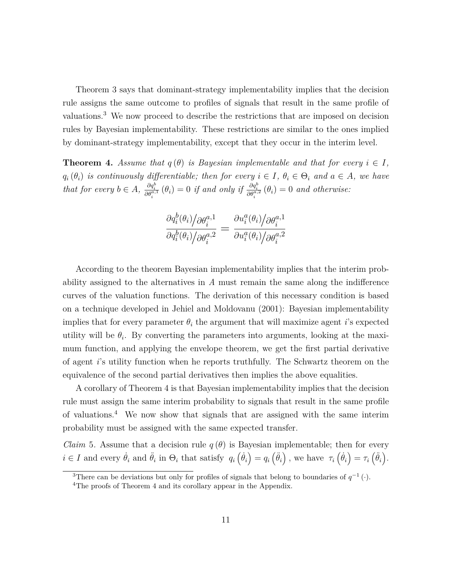Theorem 3 says that dominant-strategy implementability implies that the decision rule assigns the same outcome to profiles of signals that result in the same profile of valuations.<sup>3</sup> We now proceed to describe the restrictions that are imposed on decision rules by Bayesian implementability. These restrictions are similar to the ones implied by dominant-strategy implementability, except that they occur in the interim level.

**Theorem 4.** *Assume that*  $q(\theta)$  *is Bayesian implementable and that for every*  $i \in I$ ,  $q_i(\theta_i)$  *is continuously differentiable; then for every*  $i \in I$ ,  $\theta_i \in \Theta_i$  *and*  $a \in A$ *, we have* that for every  $b \in A$ ,  $\frac{\partial q_i^b}{\partial \theta_i^{a,1}}(\theta_i) = 0$  if and only if  $\frac{\partial q_i^b}{\partial \theta_i^{a,2}}(\theta_i) = 0$  and otherwise:

$$
\frac{\partial q_i^b(\theta_i) \big/ \partial \theta_i^{a,1}}{\partial q_i^b(\theta_i) \big/ \partial \theta_i^{a,2}} = \frac{\partial u_i^a(\theta_i) \big/ \partial \theta_i^{a,1}}{\partial u_i^a(\theta_i) \big/ \partial \theta_i^{a,2}}
$$

According to the theorem Bayesian implementability implies that the interim probability assigned to the alternatives in *A* must remain the same along the indifference curves of the valuation functions. The derivation of this necessary condition is based on a technique developed in Jehiel and Moldovanu (2001): Bayesian implementability implies that for every parameter  $\theta_i$  the argument that will maximize agent *i*'s expected utility will be  $\theta_i$ . By converting the parameters into arguments, looking at the maximum function, and applying the envelope theorem, we get the first partial derivative of agent *i*'s utility function when he reports truthfully. The Schwartz theorem on the equivalence of the second partial derivatives then implies the above equalities.

A corollary of Theorem 4 is that Bayesian implementability implies that the decision rule must assign the same interim probability to signals that result in the same profile of valuations.<sup>4</sup> We now show that signals that are assigned with the same interim probability must be assigned with the same expected transfer.

*Claim* 5. Assume that a decision rule  $q(\theta)$  is Bayesian implementable; then for every  $i \in I$  and every  $\dot{\theta}_i$  and  $\ddot{\theta}_i$  in  $\Theta_i$  that satisfy  $q_i\left(\dot{\theta}_i\right) = q_i\left(\ddot{\theta}_i\right)$ , we have  $\tau_i\left(\dot{\theta}_i\right) = \tau_i\left(\ddot{\theta}_i\right)$ .

<sup>&</sup>lt;sup>3</sup>There can be deviations but only for profiles of signals that belong to boundaries of  $q^{-1}(\cdot)$ .

<sup>&</sup>lt;sup>4</sup>The proofs of Theorem 4 and its corollary appear in the Appendix.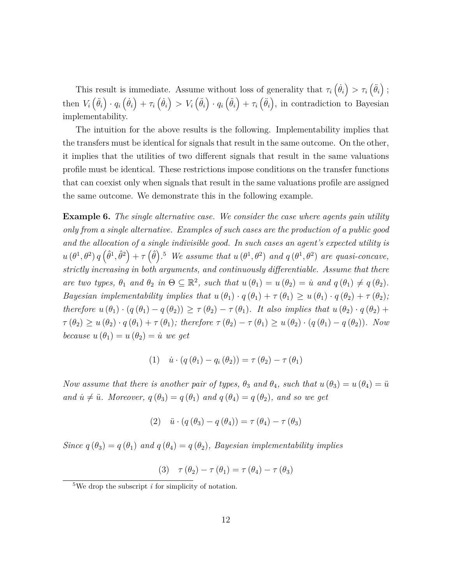This result is immediate. Assume without loss of generality that  $\tau_i \left( \dot{\theta}_i \right) > \tau_i \left( \ddot{\theta}_i \right)$ ; then  $V_i(\dot{\theta}_i) \cdot q_i(\dot{\theta}_i) + \tau_i(\dot{\theta}_i) > V_i(\ddot{\theta}_i) \cdot q_i(\ddot{\theta}_i) + \tau_i(\ddot{\theta}_i)$ , in contradiction to Bayesian implementability.

The intuition for the above results is the following. Implementability implies that the transfers must be identical for signals that result in the same outcome. On the other, it implies that the utilities of two different signals that result in the same valuations profile must be identical. These restrictions impose conditions on the transfer functions that can coexist only when signals that result in the same valuations profile are assigned the same outcome. We demonstrate this in the following example.

**Example 6.** *The single alternative case. We consider the case where agents gain utility only from a single alternative. Examples of such cases are the production of a public good and the allocation of a single indivisible good. In such cases an agent's expected utility is*  $u(\theta^1, \theta^2) q(\hat{\theta}^1, \hat{\theta}^2) + \tau(\hat{\theta})$ .<sup>5</sup> We assume that  $u(\theta^1, \theta^2)$  and  $q(\theta^1, \theta^2)$  are quasi-concave, *strictly increasing in both arguments, and continuously differentiable. Assume that there are two types,*  $\theta_1$  *and*  $\theta_2$  *in*  $\Theta \subseteq \mathbb{R}^2$ *, such that*  $u(\theta_1) = u(\theta_2) = \dot{u}$  *and*  $q(\theta_1) \neq q(\theta_2)$ *. Bayesian implementability implies that*  $u(\theta_1) \cdot q(\theta_1) + \tau(\theta_1) \geq u(\theta_1) \cdot q(\theta_2) + \tau(\theta_2)$ ; *therefore*  $u(\theta_1) \cdot (q(\theta_1) - q(\theta_2)) \geq \tau(\theta_2) - \tau(\theta_1)$ *. It also implies that*  $u(\theta_2) \cdot q(\theta_2) +$  $\tau(\theta_2) \geq u(\theta_2) \cdot q(\theta_1) + \tau(\theta_1)$ ; therefore  $\tau(\theta_2) - \tau(\theta_1) \geq u(\theta_2) \cdot (q(\theta_1) - q(\theta_2))$ . Now *because*  $u(\theta_1) = u(\theta_2) = \dot{u}$  *we get* 

$$
(1) \quad \dot{u} \cdot (q(\theta_1) - q_i(\theta_2)) = \tau(\theta_2) - \tau(\theta_1)
$$

*Now assume that there is another pair of types,*  $\theta_3$  *and*  $\theta_4$ *, such that*  $u(\theta_3) = u(\theta_4) = \ddot{u}$ *and*  $\dot{u} \neq \ddot{u}$ *. Moreover,*  $q(\theta_3) = q(\theta_1)$  *and*  $q(\theta_4) = q(\theta_2)$ *, and so we get* 

$$
(2) \quad \ddot{u} \cdot (q(\theta_3) - q(\theta_4)) = \tau(\theta_4) - \tau(\theta_3)
$$

*Since*  $q(\theta_3) = q(\theta_1)$  *and*  $q(\theta_4) = q(\theta_2)$ *, Bayesian implementability implies* 

(3) 
$$
\tau(\theta_2) - \tau(\theta_1) = \tau(\theta_4) - \tau(\theta_3)
$$

<sup>&</sup>lt;sup>5</sup>We drop the subscript  $i$  for simplicity of notation.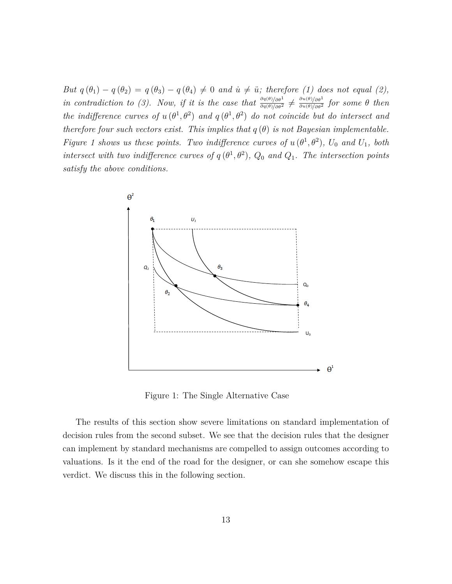*But*  $q(\theta_1) - q(\theta_2) = q(\theta_3) - q(\theta_4) \neq 0$  and  $\dot{u} \neq \ddot{u}$ ; therefore (1) does not equal (2), in contradiction to (3). Now, if it is the case that  $\frac{\partial q(\theta)/\partial \theta^1}{\partial q(\theta)/\partial \theta^2} \neq \frac{\partial u(\theta)/\partial \theta^1}{\partial u(\theta)/\partial \theta^2}$  for some  $\theta$  then *the indifference curves of*  $u(\theta^1, \theta^2)$  *and*  $q(\theta^1, \theta^2)$  *do not coincide but do intersect and therefore four such vectors exist. This implies that*  $q(\theta)$  *is not Bayesian implementable. Figure 1 shows us these points. Two indifference curves of*  $u(\theta^1, \theta^2)$ ,  $U_0$  and  $U_1$ , both *intersect with two indifference curves of*  $q(\theta^1, \theta^2)$ ,  $Q_0$  *and*  $Q_1$ . The intersection points *satisfy the above conditions.*



Figure 1: The Single Alternative Case

The results of this section show severe limitations on standard implementation of decision rules from the second subset. We see that the decision rules that the designer can implement by standard mechanisms are compelled to assign outcomes according to valuations. Is it the end of the road for the designer, or can she somehow escape this verdict. We discuss this in the following section.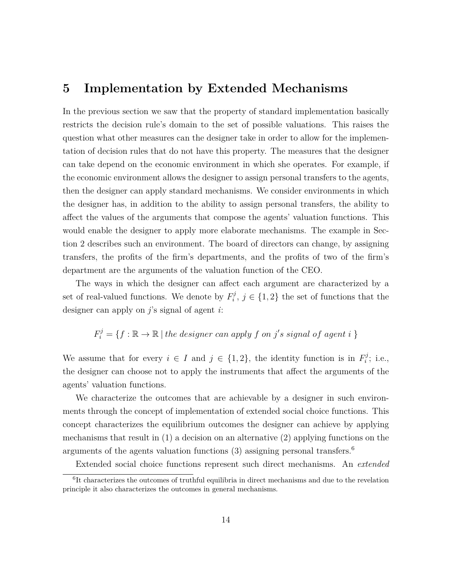### **5 Implementation by Extended Mechanisms**

In the previous section we saw that the property of standard implementation basically restricts the decision rule's domain to the set of possible valuations. This raises the question what other measures can the designer take in order to allow for the implementation of decision rules that do not have this property. The measures that the designer can take depend on the economic environment in which she operates. For example, if the economic environment allows the designer to assign personal transfers to the agents, then the designer can apply standard mechanisms. We consider environments in which the designer has, in addition to the ability to assign personal transfers, the ability to affect the values of the arguments that compose the agents' valuation functions. This would enable the designer to apply more elaborate mechanisms. The example in Section 2 describes such an environment. The board of directors can change, by assigning transfers, the profits of the firm's departments, and the profits of two of the firm's department are the arguments of the valuation function of the CEO.

The ways in which the designer can affect each argument are characterized by a set of real-valued functions. We denote by  $F_i^j$  $i^{\prime\prime}$ ,  $j \in \{1,2\}$  the set of functions that the designer can apply on *j*'s signal of agent *i*:

$$
F_i^j = \{ f : \mathbb{R} \to \mathbb{R} \mid the \ designer \ can \ apply \ f \ on \ j's \ signal \ of \ agent \ i \}
$$

We assume that for every  $i \in I$  and  $j \in \{1, 2\}$ , the identity function is in  $F_i^j$  $\mathbf{v}_i^j$ ; i.e., the designer can choose not to apply the instruments that affect the arguments of the agents' valuation functions.

We characterize the outcomes that are achievable by a designer in such environments through the concept of implementation of extended social choice functions. This concept characterizes the equilibrium outcomes the designer can achieve by applying mechanisms that result in (1) a decision on an alternative (2) applying functions on the arguments of the agents valuation functions  $(3)$  assigning personal transfers.<sup>6</sup>

Extended social choice functions represent such direct mechanisms. An *extended*

<sup>&</sup>lt;sup>6</sup>It characterizes the outcomes of truthful equilibria in direct mechanisms and due to the revelation principle it also characterizes the outcomes in general mechanisms.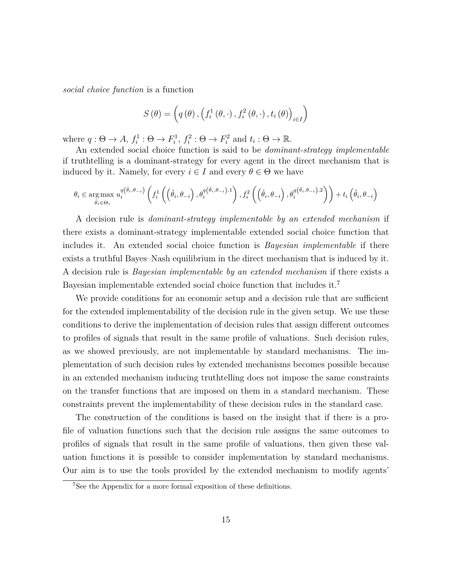*social choice function* is a function

$$
S(\theta) = \left(q(\theta), \left(f_i^1(\theta, \cdot), f_i^2(\theta, \cdot), t_i(\theta)\right)_{i \in I}\right)
$$

where  $q: \Theta \to A$ ,  $f_i^1: \Theta \to F_i^1$ ,  $f_i^2: \Theta \to F_i^2$  and  $t_i: \Theta \to \mathbb{R}$ .

An extended social choice function is said to be *dominant-strategy implementable* if truthtelling is a dominant-strategy for every agent in the direct mechanism that is induced by it. Namely, for every  $i \in I$  and every  $\theta \in \Theta$  we have

$$
\theta_{i} \in \underset{\hat{\theta}_{i} \in \Theta_{i}}{\arg \max } u_{i}^{q(\hat{\theta}_{i}, \theta_{-i})} \left( f_{i}^{1}\left( \left(\hat{\theta}_{i}, \theta_{-i}\right), \theta_{i}^{q(\hat{\theta}_{i}, \theta_{-i}), 1}\right), f_{i}^{2}\left( \left(\hat{\theta}_{i}, \theta_{-i}\right), \theta_{i}^{q(\hat{\theta}_{i}, \theta_{-i}), 2}\right) \right) + t_{i}\left(\hat{\theta}_{i}, \theta_{-i}\right)
$$

A decision rule is *dominant-strategy implementable by an extended mechanism* if there exists a dominant-strategy implementable extended social choice function that includes it. An extended social choice function is *Bayesian implementable* if there exists a truthful Bayes–Nash equilibrium in the direct mechanism that is induced by it. A decision rule is *Bayesian implementable by an extended mechanism* if there exists a Bayesian implementable extended social choice function that includes it.<sup>7</sup>

We provide conditions for an economic setup and a decision rule that are sufficient for the extended implementability of the decision rule in the given setup. We use these conditions to derive the implementation of decision rules that assign different outcomes to profiles of signals that result in the same profile of valuations. Such decision rules, as we showed previously, are not implementable by standard mechanisms. The implementation of such decision rules by extended mechanisms becomes possible because in an extended mechanism inducing truthtelling does not impose the same constraints on the transfer functions that are imposed on them in a standard mechanism. These constraints prevent the implementability of these decision rules in the standard case.

The construction of the conditions is based on the insight that if there is a profile of valuation functions such that the decision rule assigns the same outcomes to profiles of signals that result in the same profile of valuations, then given these valuation functions it is possible to consider implementation by standard mechanisms. Our aim is to use the tools provided by the extended mechanism to modify agents'

<sup>7</sup>See the Appendix for a more formal exposition of these definitions.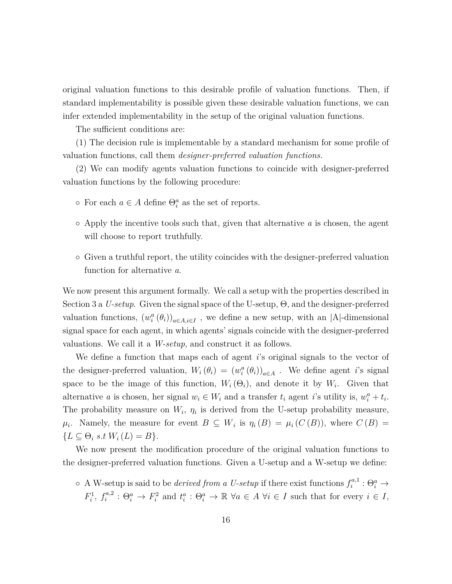original valuation functions to this desirable profile of valuation functions. Then, if standard implementability is possible given these desirable valuation functions, we can infer extended implementability in the setup of the original valuation functions.

The sufficient conditions are:

(1) The decision rule is implementable by a standard mechanism for some profile of valuation functions, call them *designer-preferred valuation functions.*

(2) We can modify agents valuation functions to coincide with designer-preferred valuation functions by the following procedure:

- $\circ$  For each  $a \in A$  define  $\Theta_i^a$  as the set of reports.
- Apply the incentive tools such that, given that alternative *a* is chosen, the agent will choose to report truthfully.
- Given a truthful report, the utility coincides with the designer-preferred valuation function for alternative *a*.

We now present this argument formally. We call a setup with the properties described in Section 3 a *U-setup*. Given the signal space of the U-setup, Θ, and the designer-preferred valuation functions,  $(w_i^a(\theta_i))_{a \in A, i \in I}$ , we define a new setup, with an |A|-dimensional signal space for each agent, in which agents' signals coincide with the designer-preferred valuations. We call it a *W-setup*, and construct it as follows.

We define a function that maps each of agent *i*'s original signals to the vector of the designer-preferred valuation,  $W_i(\theta_i) = (w_i^a(\theta_i))_{a \in A}$ . We define agent *i*'s signal space to be the image of this function,  $W_i(\Theta_i)$ , and denote it by  $W_i$ . Given that alternative *a* is chosen, her signal  $w_i \in W_i$  and a transfer  $t_i$  agent *i*'s utility is,  $w_i^a + t_i$ . The probability measure on  $W_i$ ,  $\eta_i$  is derived from the U-setup probability measure, *µ*<sup>*i*</sup>. Namely, the measure for event  $B \subseteq W_i$  is  $\eta_i(B) = \mu_i(C(B))$ , where  $C(B) =$  ${L \subseteq \Theta_i \text{ s.t } W_i(L) = B}.$ 

We now present the modification procedure of the original valuation functions to the designer-preferred valuation functions. Given a U-setup and a W-setup we define:

 $\circ$  A W-setup is said to be *derived from a U-setup* if there exist functions  $f_i^{a,1}$  $\Theta_i^{a,1} : \Theta_i^a \rightarrow$  $F_i^1, f_i^{a,2}$  $f_i^{a,2}: \Theta_i^a \to F_i^2$  and  $t_i^a: \Theta_i^a \to \mathbb{R}$   $\forall a \in A$   $\forall i \in I$  such that for every  $i \in I$ ,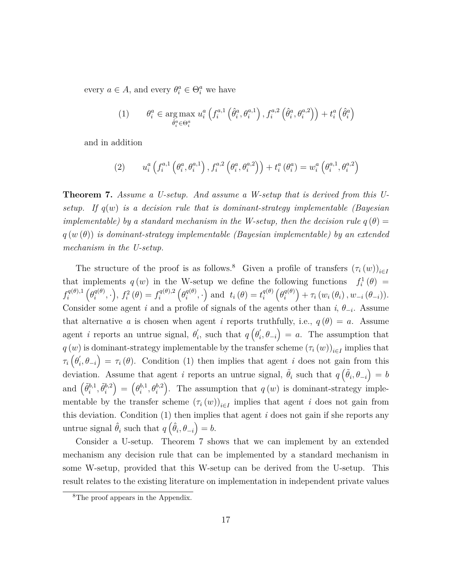every  $a \in A$ , and every  $\theta_i^a \in \Theta_i^a$  we have

(1) 
$$
\theta_i^a \in \underset{\hat{\theta}_i^a \in \Theta_i^a}{\arg \max} \ u_i^a \left( f_i^{a,1} \left( \hat{\theta}_i^a, \theta_i^{a,1} \right), f_i^{a,2} \left( \hat{\theta}_i^a, \theta_i^{a,2} \right) \right) + t_i^a \left( \hat{\theta}_i^a \right)
$$

and in addition

(2) 
$$
u_i^a\left(f_i^{a,1}\left(\theta_i^a,\theta_i^{a,1}\right),f_i^{a,2}\left(\theta_i^a,\theta_i^{a,2}\right)\right)+t_i^a\left(\theta_i^a\right)=w_i^a\left(\theta_i^{a,1},\theta_i^{a,2}\right)
$$

**Theorem 7.** *Assume a U-setup. And assume a W-setup that is derived from this Usetup. If q*(*w*) *is a decision rule that is dominant-strategy implementable (Bayesian implementable) by a standard mechanism in the W-setup, then the decision rule*  $q(\theta)$  = *q* (*w* (*θ*)) *is dominant-strategy implementable (Bayesian implementable) by an extended mechanism in the U-setup.*

The structure of the proof is as follows.<sup>8</sup> Given a profile of transfers  $(\tau_i(w))_{i\in I}$ that implements  $q(w)$  in the W-setup we define the following functions  $f_i^1(\theta) =$  $f_i^{q(\theta),1}$ *i*  $\left(\theta_i^{q(\theta)}\right)$  $f_i^{q(\theta)}, \cdot$ ,  $f_i^2(\theta) = f_i^{q(\theta),2}$ *i*  $\left(\theta_i^{q(\theta)}\right)$  $t_i^{q(\theta)}$ , ·) and  $t_i(\theta) = t_i^{q(\theta)}$ *i*  $\left(\theta_i^{q(\theta)}\right)$ *i*  $\Big) + \tau_i(w_i(\theta_i), w_{-i}(\theta_{-i})).$ Consider some agent *i* and a profile of signals of the agents other than  $i, \theta_{-i}$ . Assume that alternative *a* is chosen when agent *i* reports truthfully, i.e.,  $q(\theta) = a$ . Assume agent *i* reports an untrue signal,  $\theta'_{i}$ , such that  $q\left(\theta'_{i}, \theta_{-i}\right) = a$ . The assumption that *q* (*w*) is dominant-strategy implementable by the transfer scheme  $(\tau_i(w))_{i \in I}$  implies that  $\tau_i\left(\theta'_i, \theta_{-i}\right) = \tau_i(\theta)$ . Condition (1) then implies that agent *i* does not gain from this deviation. Assume that agent *i* reports an untrue signal,  $\tilde{\theta}_i$  such that  $q\left(\tilde{\theta}_i, \theta_{-i}\right) = b$ and  $(\tilde{\theta}_i^{b,1})$  $\widetilde{\theta}_i^{b,1}, \widetilde{\theta}_i^{b,2}$ *i*  $\Theta_i^{b,1}$  $\theta_i^{b,1}, \theta_i^{b,2}$ ). The assumption that  $q(w)$  is dominant-strategy implementable by the transfer scheme  $(\tau_i(w))_{i \in I}$  implies that agent *i* does not gain from this deviation. Condition (1) then implies that agent *i* does not gain if she reports any untrue signal  $\hat{\theta}_i$  such that  $q\left(\hat{\theta}_i, \theta_{-i}\right) = b$ .

Consider a U-setup. Theorem 7 shows that we can implement by an extended mechanism any decision rule that can be implemented by a standard mechanism in some W-setup, provided that this W-setup can be derived from the U-setup. This result relates to the existing literature on implementation in independent private values

<sup>8</sup>The proof appears in the Appendix.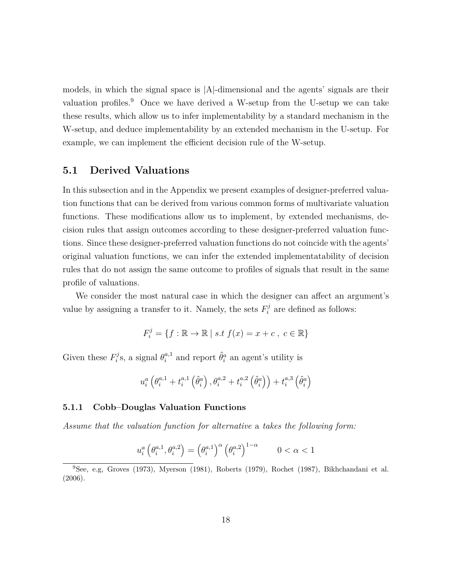models, in which the signal space is |A|-dimensional and the agents' signals are their valuation profiles.<sup>9</sup> Once we have derived a W-setup from the U-setup we can take these results, which allow us to infer implementability by a standard mechanism in the W-setup, and deduce implementability by an extended mechanism in the U-setup. For example, we can implement the efficient decision rule of the W-setup.

### **5.1 Derived Valuations**

In this subsection and in the Appendix we present examples of designer-preferred valuation functions that can be derived from various common forms of multivariate valuation functions. These modifications allow us to implement, by extended mechanisms, decision rules that assign outcomes according to these designer-preferred valuation functions. Since these designer-preferred valuation functions do not coincide with the agents' original valuation functions, we can infer the extended implementatability of decision rules that do not assign the same outcome to profiles of signals that result in the same profile of valuations.

We consider the most natural case in which the designer can affect an argument's value by assigning a transfer to it. Namely, the sets  $F_i^j$  are defined as follows:

$$
F_i^j = \{ f : \mathbb{R} \to \mathbb{R} \mid s.t \ f(x) = x + c \,, \ c \in \mathbb{R} \}
$$

Given these  $F_i^j$ <sup>*i*</sup></sup><sub>*i*</sub><sup>s</sup>, a signal  $\theta_i^{a,1}$  and report  $\hat{\theta}_i^a$  an agent's utility is

$$
u_i^a\left(\theta_i^{a,1}+t_i^{a,1}\left(\hat{\theta}_i^a\right),\theta_i^{a,2}+t_i^{a,2}\left(\hat{\theta}_i^a\right)\right)+t_i^{a,3}\left(\hat{\theta}_i^a\right)
$$

#### **5.1.1 Cobb–Douglas Valuation Functions**

*Assume that the valuation function for alternative* a *takes the following form:*

$$
u_i^a \left( \theta_i^{a,1}, \theta_i^{a,2} \right) = \left( \theta_i^{a,1} \right)^\alpha \left( \theta_i^{a,2} \right)^{1-\alpha} \qquad 0 < \alpha < 1
$$

<sup>9</sup>See, e.g, Groves (1973), Myerson (1981), Roberts (1979), Rochet (1987), Bikhchandani et al. (2006).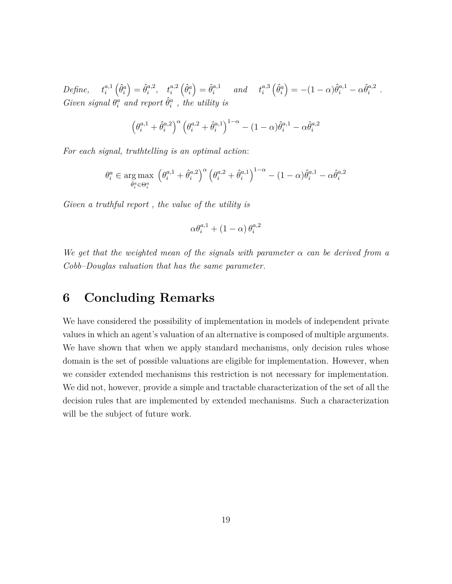*Define*,  $t_i^{a,1}$ *i*  $\left(\hat{\theta}^a_i\right)$  $\hat{\theta}_i^{a,2}$  $t_i^{a,2}, \quad t_i^{a,2}$  $\left(\hat{\theta}^a_i\right)$  $\hat{\theta}_i^{a,1}$  *and*  $t_i^{a,3}$ *i*  $\left(\hat{\theta}^a_i\right)$  $= -(1 - \alpha)\hat{\theta}_i^{a,1} - \alpha \hat{\theta}_i^{a,2}$  $\frac{a,2}{i}$ . *Given signal*  $\theta_i^{\dot{a}}$  *and report*  $\hat{\theta}_i^{\dot{a}}$ , *the utility is* 

$$
\left(\theta_i^{a,1} + \hat{\theta}_i^{a,2}\right)^{\alpha} \left(\theta_i^{a,2} + \hat{\theta}_i^{a,1}\right)^{1-\alpha} - (1-\alpha)\hat{\theta}_i^{a,1} - \alpha\hat{\theta}_i^{a,2}
$$

*For each signal, truthtelling is an optimal action*:

$$
\theta_i^a \in \underset{\hat{\theta}_i^a \in \Theta_i^a}{\arg \max} \left(\theta_i^{a,1} + \hat{\theta}_i^{a,2}\right)^{\alpha} \left(\theta_i^{a,2} + \hat{\theta}_i^{a,1}\right)^{1-\alpha} - (1-\alpha)\hat{\theta}_i^{a,1} - \alpha \hat{\theta}_i^{a,2}
$$

*Given a truthful report , the value of the utility is*

$$
\alpha \theta_i^{a,1} + \left(1-\alpha\right) \theta_i^{a,2}
$$

*We get that the weighted mean of the signals with parameter α can be derived from a Cobb–Douglas valuation that has the same parameter.*

### **6 Concluding Remarks**

We have considered the possibility of implementation in models of independent private values in which an agent's valuation of an alternative is composed of multiple arguments. We have shown that when we apply standard mechanisms, only decision rules whose domain is the set of possible valuations are eligible for implementation. However, when we consider extended mechanisms this restriction is not necessary for implementation. We did not, however, provide a simple and tractable characterization of the set of all the decision rules that are implemented by extended mechanisms. Such a characterization will be the subject of future work.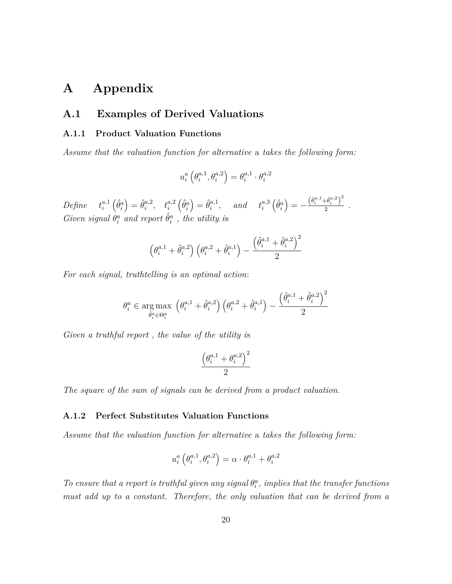### **A Appendix**

### **A.1 Examples of Derived Valuations**

#### **A.1.1 Product Valuation Functions**

*Assume that the valuation function for alternative* a *takes the following form:*

$$
u_i^a\left(\theta_i^{a,1},\theta_i^{a,2}\right)=\theta_i^{a,1}\cdot\theta_i^{a,2}
$$

 $Define \quad t_i^{a,1}$ *i*  $\left(\hat{\theta}^a_i\right)$  $\hat{\theta}_i^{a,2}$  $t_i^{a,2}, \quad t_i^{a,2}$  $\left(\hat{\theta}^a_i\right)$  $\hat{\theta}_i^{a,1}$  $\int_i^{a,1}$ , and  $t_i^{a,3}$ *i*  $\left(\hat{\theta}^a_i\right)$  $= -\frac{\left( \hat{\theta}_{i}^{a,1} + \hat{\theta}_{i}^{a,2} \right)^{2}}{2}$  $\frac{a_{i}}{2}$ . *Given signal*  $\hat{\theta}^a_i$  *and report*  $\hat{\theta}^a_i$ , *the utility is* 

$$
\left(\theta^{a,1}_i + \hat{\theta}^{a,2}_i\right)\left(\theta^{a,2}_i + \hat{\theta}^{a,1}_i\right) - \frac{\left(\hat{\theta}^{a,1}_i + \hat{\theta}^{a,2}_i\right)^2}{2}
$$

*For each signal, truthtelling is an optimal action*:

$$
\theta_i^a \in \underset{\hat{\theta}_i^a \in \Theta_i^a}{\arg \max} \left( \theta_i^{a,1} + \hat{\theta}_i^{a,2} \right) \left( \theta_i^{a,2} + \hat{\theta}_i^{a,1} \right) - \frac{\left( \hat{\theta}_i^{a,1} + \hat{\theta}_i^{a,2} \right)^2}{2}
$$

*Given a truthful report , the value of the utility i*s

$$
\frac{\left(\theta_i^{a,1}+\theta_i^{a,2}\right)^2}{2}
$$

*The square of the sum of signals can be derived from a product valuation.*

#### **A.1.2 Perfect Substitutes Valuation Functions**

*Assume that the valuation function for alternative* a *takes the following form:*

$$
u_i^a \left( \theta_i^{a,1}, \theta_i^{a,2} \right) = \alpha \cdot \theta_i^{a,1} + \theta_i^{a,2}
$$

*To ensure that a report is truthful given any signal*  $\theta_i^a$ , *implies that the transfer functions must add up to a constant. Therefore, the only valuation that can be derived from a*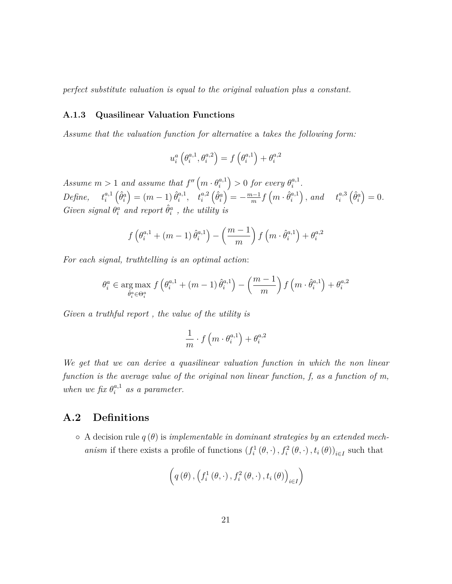*perfect substitute valuation is equal to the original valuation plus a constant.*

#### **A.1.3 Quasilinear Valuation Functions**

*Assume that the valuation function for alternative* a *takes the following form:*

$$
u_i^a\left(\theta_i^{a,1},\theta_i^{a,2}\right) = f\left(\theta_i^{a,1}\right) + \theta_i^{a,2}
$$

*Assume*  $m > 1$  *and assume that*  $f''(m \cdot \theta_i^{a,1})$ *i*  $\left( \frac{1}{2} \right) > 0$  *for every*  $\theta_i^{a,1}$  $i^{a,1}$ . *Define*,  $t_i^{a,1}$ *i*  $\left(\hat{\theta}^a_i\right)$  $= (m - 1) \hat{\theta}_i^{a,1}$  $t_i^{a,1}, \quad t_i^{a,2}$  $\left(\hat{\theta}^a_i\right)$  $\int = -\frac{m-1}{m} f(m \cdot \hat{\theta}_i^{a,1})$ *i*  $\int$ *, and*  $t_i^{a,3}$ *i*  $\left(\hat{\theta}^a_i\right)$  $= 0.$ *Given signal*  $\theta_i^{\dot{a}}$  *and report*  $\hat{\theta}_i^{\dot{a}}$ , *the utility is* 

$$
f\left(\theta_i^{a,1} + \left(m-1\right)\hat{\theta}_i^{a,1}\right) - \left(\frac{m-1}{m}\right)f\left(m \cdot \hat{\theta}_i^{a,1}\right) + \theta_i^{a,2}
$$

*For each signal, truthtelling is an optimal action*:

$$
\theta_i^a \in \underset{\hat{\theta}_i^a \in \Theta_i^a}{\arg \max} f\left(\theta_i^{a,1} + (m-1)\,\hat{\theta}_i^{a,1}\right) - \left(\frac{m-1}{m}\right)f\left(m \cdot \hat{\theta}_i^{a,1}\right) + \theta_i^{a,2}
$$

*Given a truthful report , the value of the utility is*

$$
\frac{1}{m} \cdot f\left(m \cdot \theta_i^{a,1}\right) + \theta_i^{a,2}
$$

*We get that we can derive a quasilinear valuation function in which the non linear function is the average value of the original non linear function, f, as a function of m, when we fix*  $\theta_i^{a,1}$  *as a parameter.* 

### **A.2 Definitions**

◦ A decision rule *q* (*θ*) is *implementable in dominant strategies by an extended mechanism* if there exists a profile of functions  $(f_i^1(\theta, \cdot), f_i^2(\theta, \cdot), t_i(\theta))_{i \in I}$  such that

$$
\left(q\left(\theta\right),\left(f_i^1\left(\theta,\cdot\right),f_i^2\left(\theta,\cdot\right),t_i\left(\theta\right)\right)_{i\in I}\right)
$$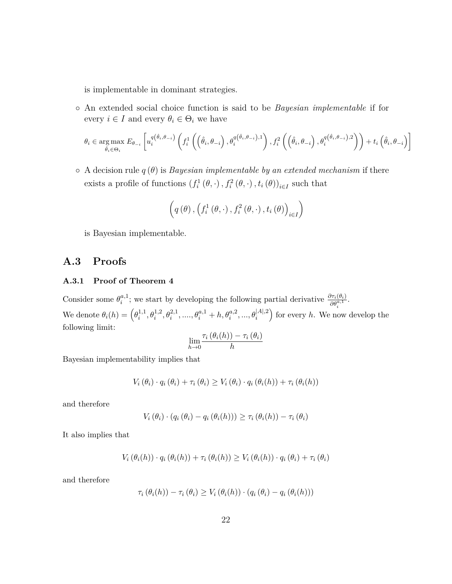is implementable in dominant strategies.

◦ An extended social choice function is said to be *Bayesian implementable* if for every  $i \in I$  and every  $\theta_i \in \Theta_i$  we have

$$
\theta_{i} \in \underset{\hat{\theta}_{i} \in \Theta_{i}}{\arg \max } E_{\theta_{-i}} \left[ u_{i}^{q(\hat{\theta}_{i}, \theta_{-i})} \left( f_{i}^{1} \left( \left( \hat{\theta}_{i}, \theta_{-i} \right), \theta_{i}^{q(\hat{\theta}_{i}, \theta_{-i}), 1} \right), f_{i}^{2} \left( \left( \hat{\theta}_{i}, \theta_{-i} \right), \theta_{i}^{q(\hat{\theta}_{i}, \theta_{-i}), 2} \right) \right) + t_{i} \left( \hat{\theta}_{i}, \theta_{-i} \right) \right]
$$

◦ A decision rule *q* (*θ*) is *Bayesian implementable by an extended mechanism* if there exists a profile of functions  $(f_i^1(\theta, \cdot), f_i^2(\theta, \cdot), t_i(\theta))_{i \in I}$  such that

$$
\left(q\left(\theta\right),\left(f_i^1\left(\theta,\cdot\right),f_i^2\left(\theta,\cdot\right),t_i\left(\theta\right)\right)_{i\in I}\right)
$$

is Bayesian implementable.

### **A.3 Proofs**

#### **A.3.1 Proof of Theorem 4**

Consider some  $\theta_i^{a,1}$  $a_i$ <sup>1</sup>; we start by developing the following partial derivative  $\frac{\partial \tau_i(\theta_i)}{\partial \theta_i^{a,1}}$ . We denote  $\theta_i(h) = \left(\theta_i^{1,1}\right)$  $\theta_i^{1,1}, \theta_i^{1,2}, \theta_i^{2,1}, \ldots, \theta_i^{a,1} + h, \theta_i^{a,2}, \ldots, \theta_i^{|A|,2}$ for every  $h$ . We now develop the following limit:  $\tau_i$  (*θ*<sub>*i*</sub>(*h*)) − *τ*<sub>*i*</sub> (*θ*<sub>*i*</sub>)

$$
\lim_{h\to 0} \frac{\tau_i(\theta_i(h)) - \tau_i(\theta)}{h}
$$

Bayesian implementability implies that

$$
V_i(\theta_i) \cdot q_i(\theta_i) + \tau_i(\theta_i) \geq V_i(\theta_i) \cdot q_i(\theta_i(h)) + \tau_i(\theta_i(h))
$$

and therefore

$$
V_i(\theta_i) \cdot (q_i(\theta_i) - q_i(\theta_i(h))) \geq \tau_i(\theta_i(h)) - \tau_i(\theta_i)
$$

It also implies that

$$
V_i(\theta_i(h)) \cdot q_i(\theta_i(h)) + \tau_i(\theta_i(h)) \geq V_i(\theta_i(h)) \cdot q_i(\theta_i) + \tau_i(\theta_i)
$$

and therefore

$$
\tau_i(\theta_i(h)) - \tau_i(\theta_i) \ge V_i(\theta_i(h)) \cdot (q_i(\theta_i) - q_i(\theta_i(h)))
$$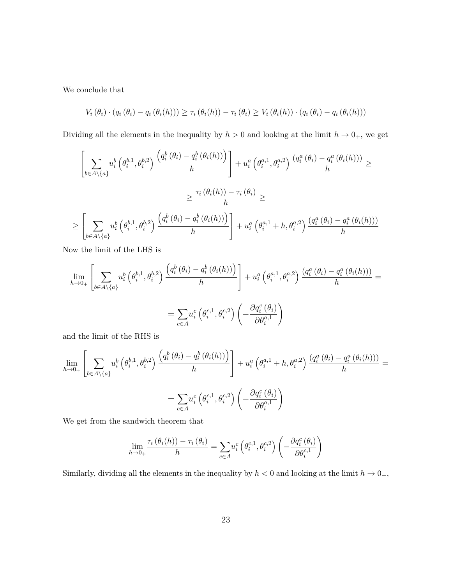We conclude that

$$
V_i(\theta_i) \cdot (q_i(\theta_i) - q_i(\theta_i(h))) \geq \tau_i(\theta_i(h)) - \tau_i(\theta_i) \geq V_i(\theta_i(h)) \cdot (q_i(\theta_i) - q_i(\theta_i(h)))
$$

Dividing all the elements in the inequality by  $h > 0$  and looking at the limit  $h \to 0<sub>+</sub>$ , we get

$$
\left[\sum_{b\in A\setminus\{a\}} u_i^b\left(\theta_i^{b,1},\theta_i^{b,2}\right) \frac{\left(q_i^b\left(\theta_i\right)-q_i^b\left(\theta_i(h)\right)\right)}{h}\right] + u_i^a\left(\theta_i^{a,1},\theta_i^{a,2}\right) \frac{\left(q_i^a\left(\theta_i\right)-q_i^a\left(\theta_i(h)\right)\right)}{h} \geq
$$
\n
$$
\geq \frac{\tau_i\left(\theta_i(h)\right)-\tau_i\left(\theta_i\right)}{h} \geq
$$
\n
$$
\geq \left[\sum_{b\in A\setminus\{a\}} u_i^b\left(\theta_i^{b,1},\theta_i^{b,2}\right) \frac{\left(q_i^b\left(\theta_i\right)-q_i^b\left(\theta_i(h)\right)\right)}{h}\right] + u_i^a\left(\theta_i^{a,1}+h,\theta_i^{a,2}\right) \frac{\left(q_i^a\left(\theta_i\right)-q_i^a\left(\theta_i(h)\right)\right)}{h}
$$

Now the limit of the LHS is

$$
\lim_{h \to 0_+} \left[ \sum_{b \in A \setminus \{a\}} u_i^b \left( \theta_i^{b,1}, \theta_i^{b,2} \right) \frac{\left( q_i^b \left( \theta_i \right) - q_i^b \left( \theta_i(h) \right) \right)}{h} \right] + u_i^a \left( \theta_i^{a,1}, \theta_i^{a,2} \right) \frac{\left( q_i^a \left( \theta_i \right) - q_i^a \left( \theta_i(h) \right) \right)}{h} = \sum_{c \in A} u_i^c \left( \theta_i^{c,1}, \theta_i^{c,2} \right) \left( -\frac{\partial q_i^c \left( \theta_i \right)}{\partial \theta_i^{a,1}} \right)
$$

and the limit of the RHS is

$$
\lim_{h \to 0+} \left[ \sum_{b \in A \setminus \{a\}} u_i^b \left( \theta_i^{b,1}, \theta_i^{b,2} \right) \frac{\left( q_i^b \left( \theta_i \right) - q_i^b \left( \theta_i(h) \right) \right)}{h} \right] + u_i^a \left( \theta_i^{a,1} + h, \theta_i^{a,2} \right) \frac{\left( q_i^a \left( \theta_i \right) - q_i^a \left( \theta_i(h) \right) \right)}{h} = \sum_{c \in A} u_i^c \left( \theta_i^{c,1}, \theta_i^{c,2} \right) \left( -\frac{\partial q_i^c \left( \theta_i \right)}{\partial \theta_i^{a,1}} \right)
$$

We get from the sandwich theorem that

$$
\lim_{h \to 0_+} \frac{\tau_i(\theta_i(h)) - \tau_i(\theta_i)}{h} = \sum_{c \in A} u_i^c \left(\theta_i^{c,1}, \theta_i^{c,2}\right) \left(-\frac{\partial q_i^c(\theta_i)}{\partial \theta_i^{c,1}}\right)
$$

Similarly, dividing all the elements in the inequality by  $h < 0$  and looking at the limit  $h \to 0<sub>-</sub>$ ,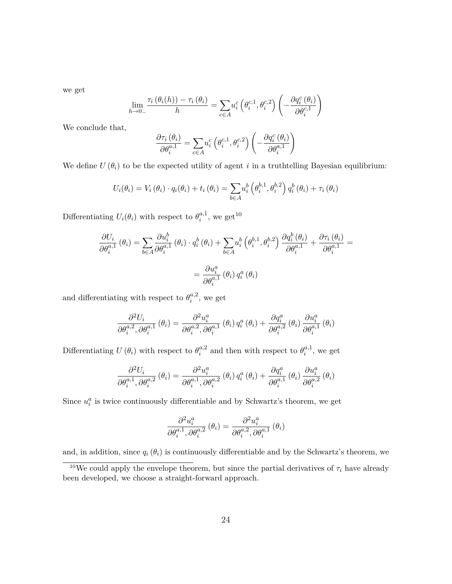we get

$$
\lim_{h \to 0_-} \frac{\tau_i(\theta_i(h)) - \tau_i(\theta_i)}{h} = \sum_{c \in A} u_i^c \left(\theta_i^{c,1}, \theta_i^{c,2}\right) \left(-\frac{\partial q_i^c(\theta_i)}{\partial \theta_i^{c,1}}\right)
$$

We conclude that,

$$
\frac{\partial \tau_i(\theta_i)}{\partial \theta_i^{a,1}} = \sum_{c \in A} u_i^c \left(\theta_i^{c,1}, \theta_i^{c,2}\right) \left(-\frac{\partial q_i^c(\theta_i)}{\partial \theta_i^{a,1}}\right)
$$

We define  $U(\theta_i)$  to be the expected utility of agent *i* in a truthtelling Bayesian equilibrium:

$$
U_i(\theta_i) = V_i(\theta_i) \cdot q_i(\theta_i) + t_i(\theta_i) = \sum_{b \in A} u_i^b \left( \theta_i^{b,1}, \theta_i^{b,2} \right) q_i^b \left( \theta_i \right) + \tau_i(\theta_i)
$$

Differentiating  $U_i(\theta_i)$  with respect to  $\theta_i^{a,1}$  $i^{a,1}$ , we get<sup>10</sup>

$$
\frac{\partial U_i}{\partial \theta_i^{a,1}} (\theta_i) = \sum_{b \in A} \frac{\partial u_i^b}{\partial \theta_i^{a,1}} (\theta_i) \cdot q_i^b (\theta_i) + \sum_{b \in A} u_i^b (\theta_i^{b,1}, \theta_i^{b,2}) \frac{\partial q_i^b (\theta_i)}{\partial \theta_i^{a,1}} + \frac{\partial \tau_i (\theta_i)}{\partial \theta_i^{a,1}} =
$$
  

$$
= \frac{\partial u_i^a}{\partial \theta_i^{a,1}} (\theta_i) q_i^a (\theta_i)
$$

and differentiating with respect to  $\theta_i^{a,2}$  $i^{a,2}$ , we get

$$
\frac{\partial^2 U_i}{\partial \theta_i^{a,2}, \partial \theta_i^{a,1}} (\theta_i) = \frac{\partial^2 u_i^a}{\partial \theta_i^{a,2}, \partial \theta_i^{a,1}} (\theta_i) q_i^a (\theta_i) + \frac{\partial q_i^a}{\partial \theta_i^{a,2}} (\theta_i) \frac{\partial u_i^a}{\partial \theta_i^{a,1}} (\theta_i)
$$

Differentiating  $U(\theta_i)$  with respect to  $\theta_i^{a,2}$  $a_i^{\alpha,2}$  and then with respect to  $\theta_i^{\alpha,1}$  $i^{a,1}$ , we get

$$
\frac{\partial^2 U_i}{\partial \theta_i^{a,1}, \partial \theta_i^{a,2}} (\theta_i) = \frac{\partial^2 u_i^a}{\partial \theta_i^{a,1}, \partial \theta_i^{a,2}} (\theta_i) q_i^a (\theta_i) + \frac{\partial q_i^a}{\partial \theta_i^{a,1}} (\theta_i) \frac{\partial u_i^a}{\partial \theta_i^{a,2}} (\theta_i)
$$

Since  $u_i^a$  is twice continuously differentiable and by Schwartz's theorem, we get

$$
\frac{\partial^2 u_i^a}{\partial \theta_i^{a,1}, \partial \theta_i^{a,2}} (\theta_i) = \frac{\partial^2 u_i^a}{\partial \theta_i^{a,2}, \partial \theta_i^{a,1}} (\theta_i)
$$

and, in addition, since  $q_i(\theta_i)$  is continuously differentiable and by the Schwartz's theorem, we

<sup>&</sup>lt;sup>10</sup>We could apply the envelope theorem, but since the partial derivatives of  $\tau_i$  have already been developed, we choose a straight-forward approach.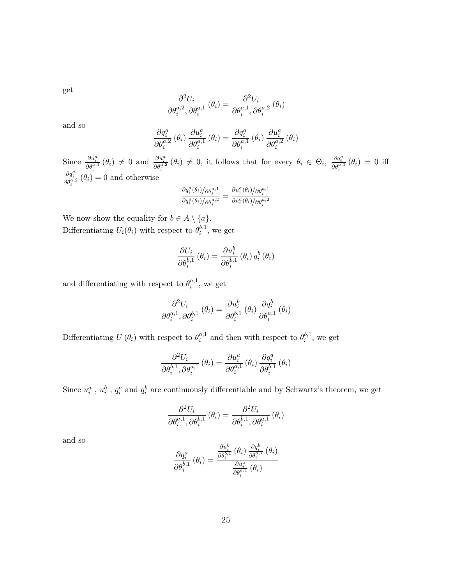get

$$
\frac{\partial^2 U_i}{\partial \theta_i^{a,2}, \partial \theta_i^{a,1}} (\theta_i) = \frac{\partial^2 U_i}{\partial \theta_i^{a,1}, \partial \theta_i^{a,2}} (\theta_i)
$$

and so

$$
\frac{\partial q_{i}^{a}}{\partial \theta_{i}^{a,2}}\left(\theta_{i}\right) \frac{\partial u_{i}^{a}}{\partial \theta_{i}^{a,1}}\left(\theta_{i}\right) = \frac{\partial q_{i}^{a}}{\partial \theta_{i}^{a,1}}\left(\theta_{i}\right) \frac{\partial u_{i}^{a}}{\partial \theta_{i}^{a,2}}\left(\theta_{i}\right)
$$

Since  $\frac{\partial u_i^a}{\partial \theta_i^{a,1}}(\theta_i) \neq 0$  and  $\frac{\partial u_i^a}{\partial \theta_i^{a,2}}(\theta_i) \neq 0$ , it follows that for every  $\theta_i \in \Theta_i$ ,  $\frac{\partial q_i^a}{\partial \theta_i^{a,1}}(\theta_i) = 0$  iff  $\frac{\partial q_i^a}{\partial \theta_i^{a,2}} (\theta_i) = 0$  and otherwise

$$
\frac{\partial q_i^a(\theta_i)/\partial \theta_i^{a,1}}{\partial q_i^a(\theta_i)/\partial \theta_i^{a,2}} = \frac{\partial u_i^a(\theta_i)/\partial \theta_i^{a,1}}{\partial u_i^a(\theta_i)/\partial \theta_i^{a,2}}
$$

We now show the equality for  $b \in A \setminus \{a\}.$ Differentiating  $U_i(\theta_i)$  with respect to  $\theta_i^{b,1}$  $i^{0,1}$ , we get

$$
\frac{\partial U_i}{\partial \theta_i^{b,1}}\left(\theta_i\right) = \frac{\partial u_i^b}{\partial \theta_i^{b,1}}\left(\theta_i\right)q_i^b\left(\theta_i\right)
$$

and differentiating with respect to  $\theta_i^{a,1}$  $i^{a,1}$ , we get

$$
\frac{\partial^2 U_i}{\partial \theta_i^{a,1}, \partial \theta_i^{b,1}} (\theta_i) = \frac{\partial u_i^b}{\partial \theta_i^{b,1}} (\theta_i) \frac{\partial q_i^b}{\partial \theta_i^{a,1}} (\theta_i)
$$

Differentiating  $U(\theta_i)$  with respect to  $\theta_i^{a,1}$  $a_i^{a,1}$  and then with respect to  $\theta_i^{b,1}$  $i^{b,1}$ , we get

$$
\frac{\partial^2 U_i}{\partial \theta_i^{b,1}, \partial \theta_i^{a,1}} (\theta_i) = \frac{\partial u_i^a}{\partial \theta_i^{a,1}} (\theta_i) \frac{\partial q_i^a}{\partial \theta_i^{b,1}} (\theta_i)
$$

Since  $u_i^a$ ,  $u_i^b$ ,  $q_i^a$  and  $q_i^b$  are continuously differentiable and by Schwartz's theorem, we get

$$
\frac{\partial^2 U_i}{\partial \theta_i^{a,1}, \partial \theta_i^{b,1}} (\theta_i) = \frac{\partial^2 U_i}{\partial \theta_i^{b,1}, \partial \theta_i^{a,1}} (\theta_i)
$$

and so

$$
\frac{\partial q_{i}^{a}}{\partial \theta_{i}^{b,1}}\left(\theta_{i}\right)=\frac{\frac{\partial u_{i}^{b}}{\partial \theta_{i}^{b,1}}\left(\theta_{i}\right)\frac{\partial q_{i}^{b}}{\partial \theta_{i}^{a,1}}\left(\theta_{i}\right)}{\frac{\partial u_{i}^{a}}{\partial \theta_{i}^{a,1}}\left(\theta_{i}\right)}
$$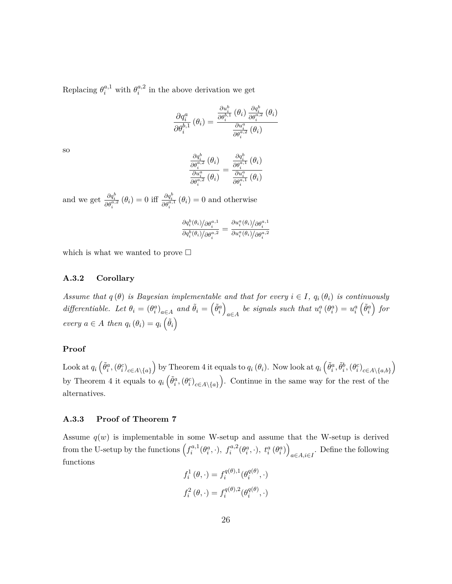Replacing  $\theta_i^{a,1}$  with  $\theta_i^{a,2}$  $i^{a,2}$  in the above derivation we get

$$
\frac{\partial q_{i}^{a}}{\partial \theta_{i}^{b,1}}\left(\theta_{i}\right)=\frac{\frac{\partial u_{i}^{b}}{\partial \theta_{i}^{b,1}}\left(\theta_{i}\right)}{\frac{\partial u_{i}^{a}}{\partial \theta_{i}^{a,2}}\left(\theta_{i}\right)}\frac{\partial q_{i}^{b}}{\partial \theta_{i}^{a,2}}\left(\theta_{i}\right)
$$

so

$$
\frac{\frac{\partial q_{i}^{b}}{\partial \theta_{i}^{a,2}}\left(\theta_{i}\right)}{\frac{\partial u_{i}^{a}}{\partial \theta_{i}^{a,2}}\left(\theta_{i}\right)}=\frac{\frac{\partial q_{i}^{b}}{\partial \theta_{i}^{a,1}}\left(\theta_{i}\right)}{\frac{\partial u_{i}^{a}}{\partial \theta_{i}^{a,1}}\left(\theta_{i}\right)}
$$

and we get  $\frac{\partial q_i^b}{\partial \theta_i^{a,2}}(\theta_i) = 0$  iff  $\frac{\partial q_i^b}{\partial \theta_i^{a,1}}(\theta_i) = 0$  and otherwise

$$
\frac{\partial q_i^b(\theta_i)/\partial \theta_i^{a,1}}{\partial q_i^b(\theta_i)/\partial \theta_i^{a,2}} = \frac{\partial u_i^a(\theta_i)/\partial \theta_i^{a,1}}{\partial u_i^a(\theta_i)/\partial \theta_i^{a,2}}
$$

which is what we wanted to prove  $\Box$ 

#### **A.3.2 Corollary**

*Assume that*  $q(\theta)$  *is Bayesian implementable and that for every*  $i \in I$ *,*  $q_i(\theta_i)$  *is continuously differentiable. Let*  $\theta_i = (\theta_i^a)_{a \in A}$  and  $\tilde{\theta}_i = (\tilde{\theta}_i^a)$  $\overline{ }$ *a*∈*A be signals such that*  $u_i^a(\theta_i^a) = u_i^a$  $\left(\tilde{\theta}^a_i\right)$  *for every*  $a \in A$  *then*  $q_i(\theta_i) = q_i(\tilde{\theta}_i)$ 

#### **Proof**

Look at  $q_i\left(\tilde{\theta}_i^a, (\theta_i^c)_{c \in A \setminus \{a\}}\right)$ by Theorem 4 it equals to  $q_i(\theta_i)$ . Now look at  $q_i\left(\tilde{\theta}_i^a, \tilde{\theta}_i^b, (\theta_i^c)_{c \in A \setminus \{a,b\}}\right)$  $\overline{ }$ by Theorem 4 it equals to  $q_i \left( \tilde{\theta}_i^a, (\theta_i^c)_{c \in A \setminus \{a\}} \right)$  . Continue in the same way for the rest of the alternatives.

#### **A.3.3 Proof of Theorem 7**

Assume  $q(w)$  is implementable in some W-setup and assume that the W-setup is derived from the U-setup by the functions  $\left(f_i^{a,1}\right)$  $f_i^{a,1}(\theta_i^a, \cdot), f_i^{a,2}(\theta_i^a, \cdot), t_i^a(\theta_i^a))$ *a*∈*A,i*∈*I* . Define the following functions

$$
f_i^1(\theta, \cdot) = f_i^{q(\theta),1}(\theta_i^{q(\theta)}, \cdot)
$$
  

$$
f_i^2(\theta, \cdot) = f_i^{q(\theta),2}(\theta_i^{q(\theta)}, \cdot)
$$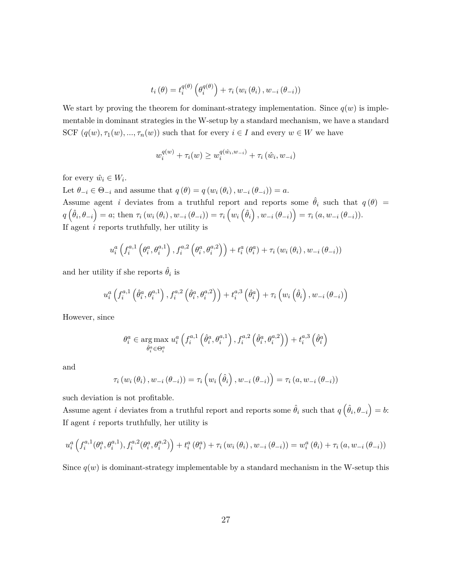$$
t_{i}(\theta) = t_{i}^{q(\theta)}\left(\theta_{i}^{q(\theta)}\right) + \tau_{i}\left(w_{i}\left(\theta_{i}\right), w_{-i}\left(\theta_{-i}\right)\right)
$$

We start by proving the theorem for dominant-strategy implementation. Since  $q(w)$  is implementable in dominant strategies in the W-setup by a standard mechanism, we have a standard SCF  $(q(w), \tau_1(w), ..., \tau_n(w))$  such that for every  $i \in I$  and every  $w \in W$  we have

$$
w_i^{q(w)} + \tau_i(w) \ge w_i^{q(\hat{w}_i, w_{-i})} + \tau_i(\hat{w}_i, w_{-i})
$$

for every  $\hat{w}_i \in W_i$ .

Let  $\theta_{-i} \in \Theta_{-i}$  and assume that  $q(\theta) = q(w_i(\theta_i), w_{-i}(\theta_{-i})) = a$ .

Assume agent *i* deviates from a truthful report and reports some  $\hat{\theta}_i$  such that  $q(\theta)$  =  $q\left(\hat{\theta}_{i},\theta_{-i}\right)=a;$  then  $\tau_{i}\left(w_{i}\left(\theta_{i}\right),w_{-i}\left(\theta_{-i}\right)\right)=\tau_{i}\left(w_{i}\left(\hat{\theta}_{i}\right),w_{-i}\left(\theta_{-i}\right)\right)=\tau_{i}\left(a,w_{-i}\left(\theta_{-i}\right)\right).$ If agent *i* reports truthfully, her utility is

$$
u_{i}^{a}\left(f_{i}^{a,1}\left(\theta_{i}^{a},\theta_{i}^{a,1}\right),f_{i}^{a,2}\left(\theta_{i}^{a},\theta_{i}^{a,2}\right)\right)+t_{i}^{a}\left(\theta_{i}^{a}\right)+\tau_{i}\left(w_{i}\left(\theta_{i}\right),w_{-i}\left(\theta_{-i}\right)\right)
$$

and her utility if she reports  $\hat{\theta}_i$  is

$$
u_i^a\left(f_i^{a,1}\left(\hat{\theta}_i^a,\theta_i^{a,1}\right),f_i^{a,2}\left(\hat{\theta}_i^a,\theta_i^{a,2}\right)\right)+t_i^{a,3}\left(\hat{\theta}_i^a\right)+\tau_i\left(w_i\left(\hat{\theta}_i\right),w_{-i}\left(\theta_{-i}\right)\right)
$$

However, since

$$
\theta_i^a \in \underset{\hat{\theta}_i^a \in \Theta_i^a}{\arg \max} \; u_i^a \left( f_i^{a,1} \left( \hat{\theta}_i^a, \theta_i^{a,1} \right), f_i^{a,2} \left( \hat{\theta}_i^a, \theta_i^{a,2} \right) \right) + t_i^{a,3} \left( \hat{\theta}_i^a \right)
$$

and

$$
\tau_{i}(w_{i}(\theta_{i}), w_{-i}(\theta_{-i})) = \tau_{i}(w_{i}(\hat{\theta}_{i}), w_{-i}(\theta_{-i})) = \tau_{i}(a, w_{-i}(\theta_{-i}))
$$

such deviation is not profitable.

Assume agent *i* deviates from a truthful report and reports some  $\hat{\theta}_i$  such that  $q\left(\hat{\theta}_i, \theta_{-i}\right) = b$ : If agent *i* reports truthfully, her utility is

$$
u_i^a \left(f_i^{a,1}(\theta_i^a, \theta_i^{a,1}), f_i^{a,2}(\theta_i^a, \theta_i^{a,2})\right) + t_i^a (\theta_i^a) + \tau_i \left(w_i(\theta_i), w_{-i}(\theta_{-i})\right) = w_i^a (\theta_i) + \tau_i (a, w_{-i}(\theta_{-i}))
$$

Since  $q(w)$  is dominant-strategy implementable by a standard mechanism in the W-setup this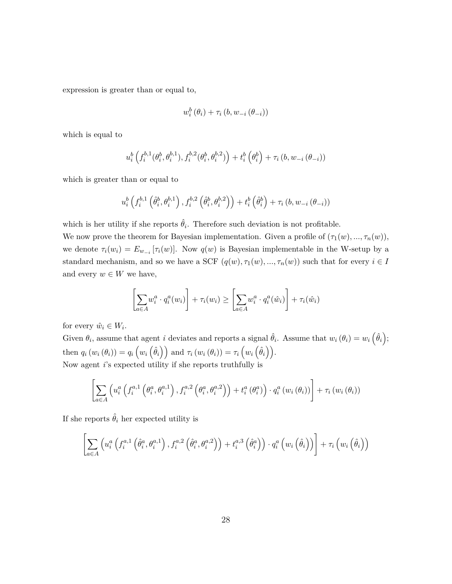expression is greater than or equal to,

$$
w_i^b(\theta_i) + \tau_i(b, w_{-i}(\theta_{-i}))
$$

which is equal to

$$
u_i^b\left(f_i^{b,1}(\theta_i^b,\theta_i^{b,1}),f_i^{b,2}(\theta_i^b,\theta_i^{b,2})\right)+t_i^b\left(\theta_i^b\right)+\tau_i\left(b,w_{-i}\left(\theta_{-i}\right)\right)
$$

which is greater than or equal to

$$
u_i^b\left(f_i^{b,1}\left(\hat{\theta}_i^b,\theta_i^{b,1}\right),f_i^{b,2}\left(\hat{\theta}_i^b,\theta_i^{b,2}\right)\right)+t_i^b\left(\hat{\theta}_i^b\right)+\tau_i\left(b,w_{-i}\left(\theta_{-i}\right)\right)
$$

which is her utility if she reports  $\hat{\theta}_i$ . Therefore such deviation is not profitable.

We now prove the theorem for Bayesian implementation. Given a profile of  $(\tau_1(w), ..., \tau_n(w))$ , we denote  $\tau_i(w_i) = E_{w_{-i}}[\tau_i(w)]$ . Now  $q(w)$  is Bayesian implementable in the W-setup by a standard mechanism, and so we have a SCF  $(q(w), \tau_1(w), ..., \tau_n(w))$  such that for every  $i \in I$ and every  $w \in W$  we have,

$$
\left[\sum_{a \in A} w_i^a \cdot q_i^a(w_i)\right] + \tau_i(w_i) \ge \left[\sum_{a \in A} w_i^a \cdot q_i^a(\hat{w}_i)\right] + \tau_i(\hat{w}_i)
$$

for every  $\hat{w}_i \in W_i$ .

Given  $\theta_i$ , assume that agent *i* deviates and reports a signal  $\hat{\theta}_i$ . Assume that  $w_i(\theta_i) = w_i(\hat{\theta}_i)$ ; then  $q_i(w_i(\theta_i)) = q_i(w_i(\hat{\theta}_i))$  and  $\tau_i(w_i(\theta_i)) = \tau_i(w_i(\hat{\theta}_i)).$ Now agent *i*'s expected utility if she reports truthfully is

$$
\left[\sum_{a\in A}\left(u_i^a\left(f_i^{a,1}\left(\theta_i^a,\theta_i^{a,1}\right),f_i^{a,2}\left(\theta_i^a,\theta_i^{a,2}\right)\right)+t_i^a\left(\theta_i^a\right)\right)\cdot q_i^a\left(w_i\left(\theta_i\right)\right)\right]+\tau_i\left(w_i\left(\theta_i\right)\right)
$$

If she reports  $\hat{\theta}_i$  her expected utility is

$$
\left[\sum_{a\in A}\left(u_i^a\left(f_i^{a,1}\left(\hat{\theta}_i^a,\theta_i^{a,1}\right),f_i^{a,2}\left(\hat{\theta}_i^a,\theta_i^{a,2}\right)\right)+t_i^{a,3}\left(\hat{\theta}_i^a\right)\right)\cdot q_i^a\left(w_i\left(\hat{\theta}_i\right)\right)\right]+\tau_i\left(w_i\left(\hat{\theta}_i\right)\right)
$$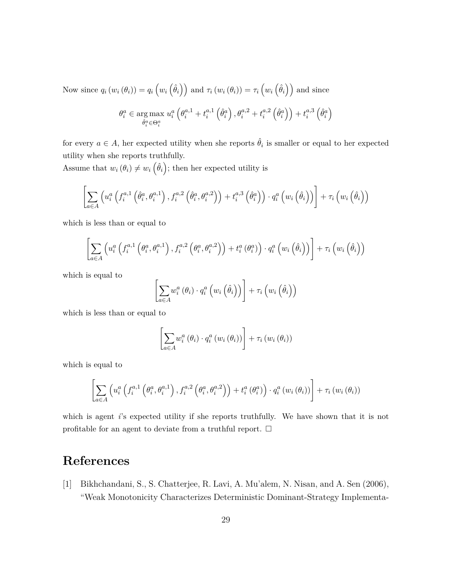Now since  $q_i(w_i(\theta_i)) = q_i(w_i(\hat{\theta}_i))$  and  $\tau_i(w_i(\theta_i)) = \tau_i(w_i(\hat{\theta}_i))$  and since

$$
\theta_i^a \in \underset{\hat{\theta}_i^a \in \Theta_i^a}{\arg \max} \; u_i^a \left( \theta_i^{a,1} + t_i^{a,1} \left( \hat{\theta}_i^a \right), \theta_i^{a,2} + t_i^{a,2} \left( \hat{\theta}_i^a \right) \right) + t_i^{a,3} \left( \hat{\theta}_i^a \right)
$$

for every  $a \in A$ , her expected utility when she reports  $\hat{\theta}_i$  is smaller or equal to her expected utility when she reports truthfully.

Assume that  $w_i(\theta_i) \neq w_i(\hat{\theta}_i)$ ; then her expected utility is

$$
\left[\sum_{a\in A} \left(u_i^a\left(f_i^{a,1}\left(\hat{\theta}_i^a,\theta_i^{a,1}\right),f_i^{a,2}\left(\hat{\theta}_i^a,\theta_i^{a,2}\right)\right)+t_i^{a,3}\left(\hat{\theta}_i^a\right)\right)\cdot q_i^a\left(w_i\left(\hat{\theta}_i\right)\right)\right]+\tau_i\left(w_i\left(\hat{\theta}_i\right)\right)
$$

which is less than or equal to

$$
\left[\sum_{a\in A}\left(u_i^a\left(f_i^{a,1}\left(\theta_i^a,\theta_i^{a,1}\right),f_i^{a,2}\left(\theta_i^a,\theta_i^{a,2}\right)\right)+t_i^a\left(\theta_i^a\right)\right)\cdot q_i^a\left(w_i\left(\hat{\theta}_i\right)\right)\right]+\tau_i\left(w_i\left(\hat{\theta}_i\right)\right)
$$

which is equal to

$$
\left[\sum_{a\in A} w_i^a\left(\theta_i\right)\cdot q_i^a\left(w_i\left(\hat{\theta}_i\right)\right)\right]+\tau_i\left(w_i\left(\hat{\theta}_i\right)\right)
$$

which is less than or equal to

$$
\left[\sum_{a\in A} w_i^a\left(\theta_i\right)\cdot q_i^a\left(w_i\left(\theta_i\right)\right)\right]+\tau_i\left(w_i\left(\theta_i\right)\right)
$$

which is equal to

$$
\left[\sum_{a\in A}\left(u_i^a\left(f_i^{a,1}\left(\theta_i^a,\theta_i^{a,1}\right),f_i^{a,2}\left(\theta_i^a,\theta_i^{a,2}\right)\right)+t_i^a\left(\theta_i^a\right)\right)\cdot q_i^a\left(w_i\left(\theta_i\right)\right)\right]+\tau_i\left(w_i\left(\theta_i\right)\right)
$$

which is agent *i*'s expected utility if she reports truthfully. We have shown that it is not profitable for an agent to deviate from a truthful report.  $\Box$ 

## **References**

[1] Bikhchandani, S., S. Chatterjee, R. Lavi, A. Mu'alem, N. Nisan, and A. Sen (2006), "Weak Monotonicity Characterizes Deterministic Dominant-Strategy Implementa